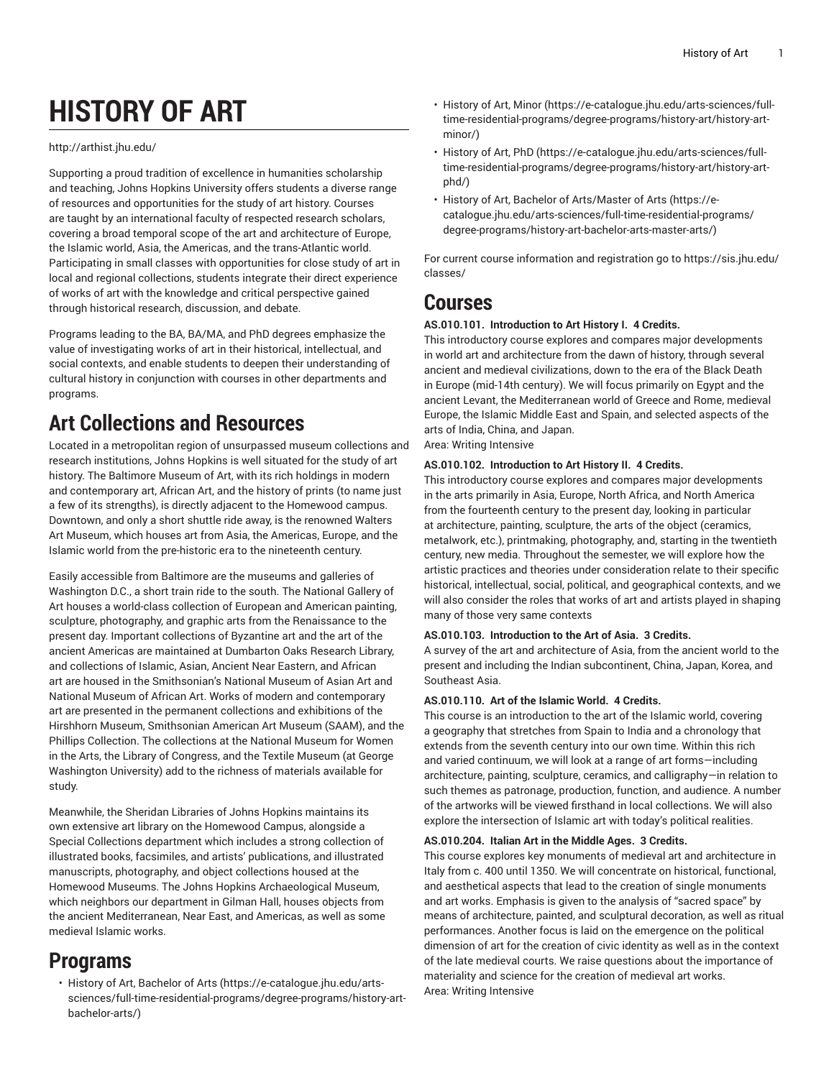# **HISTORY OF ART**

#### <http://arthist.jhu.edu/>

Supporting a proud tradition of excellence in humanities scholarship and teaching, Johns Hopkins University offers students a diverse range of resources and opportunities for the study of art history. Courses are taught by an international faculty of respected research scholars, covering a broad temporal scope of the art and architecture of Europe, the Islamic world, Asia, the Americas, and the trans-Atlantic world. Participating in small classes with opportunities for close study of art in local and regional collections, students integrate their direct experience of works of art with the knowledge and critical perspective gained through historical research, discussion, and debate.

Programs leading to the BA, BA/MA, and PhD degrees emphasize the value of investigating works of art in their historical, intellectual, and social contexts, and enable students to deepen their understanding of cultural history in conjunction with courses in other departments and programs.

## **Art Collections and Resources**

Located in a metropolitan region of unsurpassed museum collections and research institutions, Johns Hopkins is well situated for the study of art history. The Baltimore Museum of Art, with its rich holdings in modern and contemporary art, African Art, and the history of prints (to name just a few of its strengths), is directly adjacent to the Homewood campus. Downtown, and only a short shuttle ride away, is the renowned Walters Art Museum, which houses art from Asia, the Americas, Europe, and the Islamic world from the pre-historic era to the nineteenth century.

Easily accessible from Baltimore are the museums and galleries of Washington D.C., a short train ride to the south. The National Gallery of Art houses a world-class collection of European and American painting, sculpture, photography, and graphic arts from the Renaissance to the present day. Important collections of Byzantine art and the art of the ancient Americas are maintained at Dumbarton Oaks Research Library, and collections of Islamic, Asian, Ancient Near Eastern, and African art are housed in the Smithsonian's National Museum of Asian Art and National Museum of African Art. Works of modern and contemporary art are presented in the permanent collections and exhibitions of the Hirshhorn Museum, Smithsonian American Art Museum (SAAM), and the Phillips Collection. The collections at the National Museum for Women in the Arts, the Library of Congress, and the Textile Museum (at George Washington University) add to the richness of materials available for study.

Meanwhile, the Sheridan Libraries of Johns Hopkins maintains its own extensive art library on the Homewood Campus, alongside a Special Collections department which includes a strong collection of illustrated books, facsimiles, and artists' publications, and illustrated manuscripts, photography, and object collections housed at the Homewood Museums. The Johns Hopkins Archaeological Museum, which neighbors our department in Gilman Hall, houses objects from the ancient Mediterranean, Near East, and Americas, as well as some medieval Islamic works.

### **Programs**

• History of Art, [Bachelor](https://e-catalogue.jhu.edu/arts-sciences/full-time-residential-programs/degree-programs/history-art-bachelor-arts/) of Arts [\(https://e-catalogue.jhu.edu/arts](https://e-catalogue.jhu.edu/arts-sciences/full-time-residential-programs/degree-programs/history-art-bachelor-arts/)[sciences/full-time-residential-programs/degree-programs/history-art](https://e-catalogue.jhu.edu/arts-sciences/full-time-residential-programs/degree-programs/history-art-bachelor-arts/)[bachelor-arts/\)](https://e-catalogue.jhu.edu/arts-sciences/full-time-residential-programs/degree-programs/history-art-bachelor-arts/)

- [History](https://e-catalogue.jhu.edu/arts-sciences/full-time-residential-programs/degree-programs/history-art/history-art-minor/) of Art, Minor [\(https://e-catalogue.jhu.edu/arts-sciences/full](https://e-catalogue.jhu.edu/arts-sciences/full-time-residential-programs/degree-programs/history-art/history-art-minor/)[time-residential-programs/degree-programs/history-art/history-art](https://e-catalogue.jhu.edu/arts-sciences/full-time-residential-programs/degree-programs/history-art/history-art-minor/)[minor/\)](https://e-catalogue.jhu.edu/arts-sciences/full-time-residential-programs/degree-programs/history-art/history-art-minor/)
- [History](https://e-catalogue.jhu.edu/arts-sciences/full-time-residential-programs/degree-programs/history-art/history-art-phd/) of Art, PhD ([https://e-catalogue.jhu.edu/arts-sciences/full](https://e-catalogue.jhu.edu/arts-sciences/full-time-residential-programs/degree-programs/history-art/history-art-phd/)[time-residential-programs/degree-programs/history-art/history-art](https://e-catalogue.jhu.edu/arts-sciences/full-time-residential-programs/degree-programs/history-art/history-art-phd/)[phd/](https://e-catalogue.jhu.edu/arts-sciences/full-time-residential-programs/degree-programs/history-art/history-art-phd/))
- History of Art, Bachelor of [Arts/Master](https://e-catalogue.jhu.edu/arts-sciences/full-time-residential-programs/degree-programs/history-art-bachelor-arts-master-arts/) of Arts [\(https://e](https://e-catalogue.jhu.edu/arts-sciences/full-time-residential-programs/degree-programs/history-art-bachelor-arts-master-arts/)[catalogue.jhu.edu/arts-sciences/full-time-residential-programs/](https://e-catalogue.jhu.edu/arts-sciences/full-time-residential-programs/degree-programs/history-art-bachelor-arts-master-arts/) [degree-programs/history-art-bachelor-arts-master-arts/\)](https://e-catalogue.jhu.edu/arts-sciences/full-time-residential-programs/degree-programs/history-art-bachelor-arts-master-arts/)

For current course information and registration go to [https://sis.jhu.edu/](https://sis.jhu.edu/classes/) [classes/](https://sis.jhu.edu/classes/)

### **Courses**

#### **AS.010.101. Introduction to Art History I. 4 Credits.**

This introductory course explores and compares major developments in world art and architecture from the dawn of history, through several ancient and medieval civilizations, down to the era of the Black Death in Europe (mid-14th century). We will focus primarily on Egypt and the ancient Levant, the Mediterranean world of Greece and Rome, medieval Europe, the Islamic Middle East and Spain, and selected aspects of the arts of India, China, and Japan.

Area: Writing Intensive

#### **AS.010.102. Introduction to Art History II. 4 Credits.**

This introductory course explores and compares major developments in the arts primarily in Asia, Europe, North Africa, and North America from the fourteenth century to the present day, looking in particular at architecture, painting, sculpture, the arts of the object (ceramics, metalwork, etc.), printmaking, photography, and, starting in the twentieth century, new media. Throughout the semester, we will explore how the artistic practices and theories under consideration relate to their specific historical, intellectual, social, political, and geographical contexts, and we will also consider the roles that works of art and artists played in shaping many of those very same contexts

#### **AS.010.103. Introduction to the Art of Asia. 3 Credits.**

A survey of the art and architecture of Asia, from the ancient world to the present and including the Indian subcontinent, China, Japan, Korea, and Southeast Asia.

#### **AS.010.110. Art of the Islamic World. 4 Credits.**

This course is an introduction to the art of the Islamic world, covering a geography that stretches from Spain to India and a chronology that extends from the seventh century into our own time. Within this rich and varied continuum, we will look at a range of art forms—including architecture, painting, sculpture, ceramics, and calligraphy—in relation to such themes as patronage, production, function, and audience. A number of the artworks will be viewed firsthand in local collections. We will also explore the intersection of Islamic art with today's political realities.

#### **AS.010.204. Italian Art in the Middle Ages. 3 Credits.**

This course explores key monuments of medieval art and architecture in Italy from c. 400 until 1350. We will concentrate on historical, functional, and aesthetical aspects that lead to the creation of single monuments and art works. Emphasis is given to the analysis of "sacred space" by means of architecture, painted, and sculptural decoration, as well as ritual performances. Another focus is laid on the emergence on the political dimension of art for the creation of civic identity as well as in the context of the late medieval courts. We raise questions about the importance of materiality and science for the creation of medieval art works. Area: Writing Intensive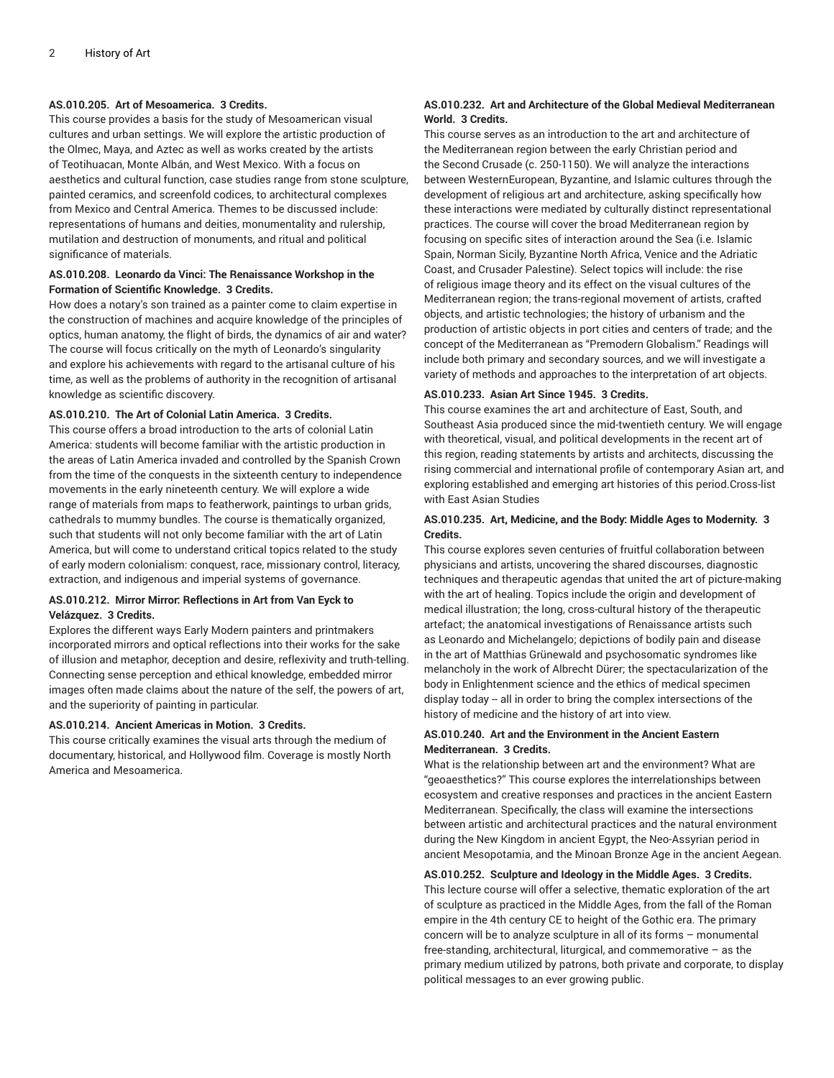#### **AS.010.205. Art of Mesoamerica. 3 Credits.**

This course provides a basis for the study of Mesoamerican visual cultures and urban settings. We will explore the artistic production of the Olmec, Maya, and Aztec as well as works created by the artists of Teotihuacan, Monte Albán, and West Mexico. With a focus on aesthetics and cultural function, case studies range from stone sculpture, painted ceramics, and screenfold codices, to architectural complexes from Mexico and Central America. Themes to be discussed include: representations of humans and deities, monumentality and rulership, mutilation and destruction of monuments, and ritual and political significance of materials.

#### **AS.010.208. Leonardo da Vinci: The Renaissance Workshop in the Formation of Scientific Knowledge. 3 Credits.**

How does a notary's son trained as a painter come to claim expertise in the construction of machines and acquire knowledge of the principles of optics, human anatomy, the flight of birds, the dynamics of air and water? The course will focus critically on the myth of Leonardo's singularity and explore his achievements with regard to the artisanal culture of his time, as well as the problems of authority in the recognition of artisanal knowledge as scientific discovery.

#### **AS.010.210. The Art of Colonial Latin America. 3 Credits.**

This course offers a broad introduction to the arts of colonial Latin America: students will become familiar with the artistic production in the areas of Latin America invaded and controlled by the Spanish Crown from the time of the conquests in the sixteenth century to independence movements in the early nineteenth century. We will explore a wide range of materials from maps to featherwork, paintings to urban grids, cathedrals to mummy bundles. The course is thematically organized, such that students will not only become familiar with the art of Latin America, but will come to understand critical topics related to the study of early modern colonialism: conquest, race, missionary control, literacy, extraction, and indigenous and imperial systems of governance.

#### **AS.010.212. Mirror Mirror: Reflections in Art from Van Eyck to Velázquez. 3 Credits.**

Explores the different ways Early Modern painters and printmakers incorporated mirrors and optical reflections into their works for the sake of illusion and metaphor, deception and desire, reflexivity and truth-telling. Connecting sense perception and ethical knowledge, embedded mirror images often made claims about the nature of the self, the powers of art, and the superiority of painting in particular.

#### **AS.010.214. Ancient Americas in Motion. 3 Credits.**

This course critically examines the visual arts through the medium of documentary, historical, and Hollywood film. Coverage is mostly North America and Mesoamerica.

#### **AS.010.232. Art and Architecture of the Global Medieval Mediterranean World. 3 Credits.**

This course serves as an introduction to the art and architecture of the Mediterranean region between the early Christian period and the Second Crusade (c. 250-1150). We will analyze the interactions between WesternEuropean, Byzantine, and Islamic cultures through the development of religious art and architecture, asking specifically how these interactions were mediated by culturally distinct representational practices. The course will cover the broad Mediterranean region by focusing on specific sites of interaction around the Sea (i.e. Islamic Spain, Norman Sicily, Byzantine North Africa, Venice and the Adriatic Coast, and Crusader Palestine). Select topics will include: the rise of religious image theory and its effect on the visual cultures of the Mediterranean region; the trans-regional movement of artists, crafted objects, and artistic technologies; the history of urbanism and the production of artistic objects in port cities and centers of trade; and the concept of the Mediterranean as "Premodern Globalism." Readings will include both primary and secondary sources, and we will investigate a variety of methods and approaches to the interpretation of art objects.

#### **AS.010.233. Asian Art Since 1945. 3 Credits.**

This course examines the art and architecture of East, South, and Southeast Asia produced since the mid-twentieth century. We will engage with theoretical, visual, and political developments in the recent art of this region, reading statements by artists and architects, discussing the rising commercial and international profile of contemporary Asian art, and exploring established and emerging art histories of this period.Cross-list with East Asian Studies

#### **AS.010.235. Art, Medicine, and the Body: Middle Ages to Modernity. 3 Credits.**

This course explores seven centuries of fruitful collaboration between physicians and artists, uncovering the shared discourses, diagnostic techniques and therapeutic agendas that united the art of picture-making with the art of healing. Topics include the origin and development of medical illustration; the long, cross-cultural history of the therapeutic artefact; the anatomical investigations of Renaissance artists such as Leonardo and Michelangelo; depictions of bodily pain and disease in the art of Matthias Grünewald and psychosomatic syndromes like melancholy in the work of Albrecht Dürer; the spectacularization of the body in Enlightenment science and the ethics of medical specimen display today -- all in order to bring the complex intersections of the history of medicine and the history of art into view.

#### **AS.010.240. Art and the Environment in the Ancient Eastern Mediterranean. 3 Credits.**

What is the relationship between art and the environment? What are "geoaesthetics?" This course explores the interrelationships between ecosystem and creative responses and practices in the ancient Eastern Mediterranean. Specifically, the class will examine the intersections between artistic and architectural practices and the natural environment during the New Kingdom in ancient Egypt, the Neo-Assyrian period in ancient Mesopotamia, and the Minoan Bronze Age in the ancient Aegean.

#### **AS.010.252. Sculpture and Ideology in the Middle Ages. 3 Credits.**

This lecture course will offer a selective, thematic exploration of the art of sculpture as practiced in the Middle Ages, from the fall of the Roman empire in the 4th century CE to height of the Gothic era. The primary concern will be to analyze sculpture in all of its forms – monumental free-standing, architectural, liturgical, and commemorative – as the primary medium utilized by patrons, both private and corporate, to display political messages to an ever growing public.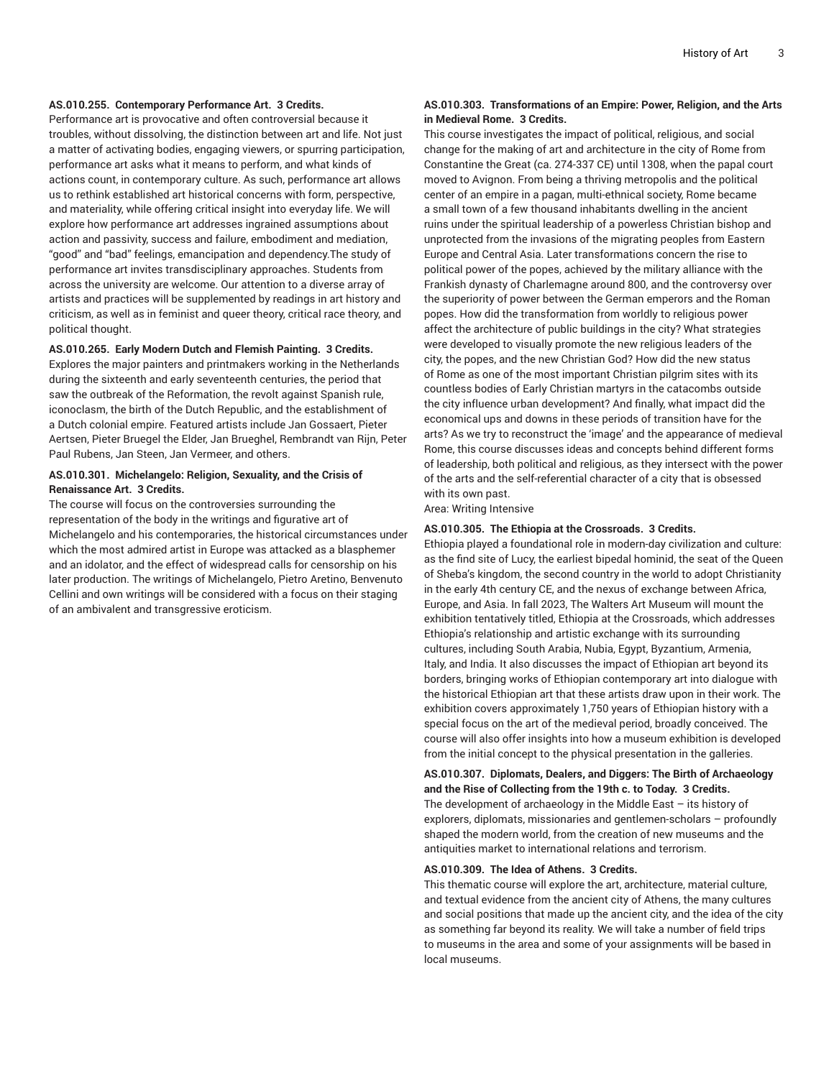#### **AS.010.255. Contemporary Performance Art. 3 Credits.**

Performance art is provocative and often controversial because it troubles, without dissolving, the distinction between art and life. Not just a matter of activating bodies, engaging viewers, or spurring participation, performance art asks what it means to perform, and what kinds of actions count, in contemporary culture. As such, performance art allows us to rethink established art historical concerns with form, perspective, and materiality, while offering critical insight into everyday life. We will explore how performance art addresses ingrained assumptions about action and passivity, success and failure, embodiment and mediation, "good" and "bad" feelings, emancipation and dependency.The study of performance art invites transdisciplinary approaches. Students from across the university are welcome. Our attention to a diverse array of artists and practices will be supplemented by readings in art history and criticism, as well as in feminist and queer theory, critical race theory, and political thought.

#### **AS.010.265. Early Modern Dutch and Flemish Painting. 3 Credits.**

Explores the major painters and printmakers working in the Netherlands during the sixteenth and early seventeenth centuries, the period that saw the outbreak of the Reformation, the revolt against Spanish rule, iconoclasm, the birth of the Dutch Republic, and the establishment of a Dutch colonial empire. Featured artists include Jan Gossaert, Pieter Aertsen, Pieter Bruegel the Elder, Jan Brueghel, Rembrandt van Rijn, Peter Paul Rubens, Jan Steen, Jan Vermeer, and others.

#### **AS.010.301. Michelangelo: Religion, Sexuality, and the Crisis of Renaissance Art. 3 Credits.**

The course will focus on the controversies surrounding the representation of the body in the writings and figurative art of Michelangelo and his contemporaries, the historical circumstances under which the most admired artist in Europe was attacked as a blasphemer and an idolator, and the effect of widespread calls for censorship on his later production. The writings of Michelangelo, Pietro Aretino, Benvenuto Cellini and own writings will be considered with a focus on their staging of an ambivalent and transgressive eroticism.

#### **AS.010.303. Transformations of an Empire: Power, Religion, and the Arts in Medieval Rome. 3 Credits.**

This course investigates the impact of political, religious, and social change for the making of art and architecture in the city of Rome from Constantine the Great (ca. 274-337 CE) until 1308, when the papal court moved to Avignon. From being a thriving metropolis and the political center of an empire in a pagan, multi-ethnical society, Rome became a small town of a few thousand inhabitants dwelling in the ancient ruins under the spiritual leadership of a powerless Christian bishop and unprotected from the invasions of the migrating peoples from Eastern Europe and Central Asia. Later transformations concern the rise to political power of the popes, achieved by the military alliance with the Frankish dynasty of Charlemagne around 800, and the controversy over the superiority of power between the German emperors and the Roman popes. How did the transformation from worldly to religious power affect the architecture of public buildings in the city? What strategies were developed to visually promote the new religious leaders of the city, the popes, and the new Christian God? How did the new status of Rome as one of the most important Christian pilgrim sites with its countless bodies of Early Christian martyrs in the catacombs outside the city influence urban development? And finally, what impact did the economical ups and downs in these periods of transition have for the arts? As we try to reconstruct the 'image' and the appearance of medieval Rome, this course discusses ideas and concepts behind different forms of leadership, both political and religious, as they intersect with the power of the arts and the self-referential character of a city that is obsessed with its own past.

Area: Writing Intensive

#### **AS.010.305. The Ethiopia at the Crossroads. 3 Credits.**

Ethiopia played a foundational role in modern-day civilization and culture: as the find site of Lucy, the earliest bipedal hominid, the seat of the Queen of Sheba's kingdom, the second country in the world to adopt Christianity in the early 4th century CE, and the nexus of exchange between Africa, Europe, and Asia. In fall 2023, The Walters Art Museum will mount the exhibition tentatively titled, Ethiopia at the Crossroads, which addresses Ethiopia's relationship and artistic exchange with its surrounding cultures, including South Arabia, Nubia, Egypt, Byzantium, Armenia, Italy, and India. It also discusses the impact of Ethiopian art beyond its borders, bringing works of Ethiopian contemporary art into dialogue with the historical Ethiopian art that these artists draw upon in their work. The exhibition covers approximately 1,750 years of Ethiopian history with a special focus on the art of the medieval period, broadly conceived. The course will also offer insights into how a museum exhibition is developed from the initial concept to the physical presentation in the galleries.

#### **AS.010.307. Diplomats, Dealers, and Diggers: The Birth of Archaeology and the Rise of Collecting from the 19th c. to Today. 3 Credits.** The development of archaeology in the Middle East  $-$  its history of explorers, diplomats, missionaries and gentlemen-scholars – profoundly shaped the modern world, from the creation of new museums and the antiquities market to international relations and terrorism.

#### **AS.010.309. The Idea of Athens. 3 Credits.**

This thematic course will explore the art, architecture, material culture, and textual evidence from the ancient city of Athens, the many cultures and social positions that made up the ancient city, and the idea of the city as something far beyond its reality. We will take a number of field trips to museums in the area and some of your assignments will be based in local museums.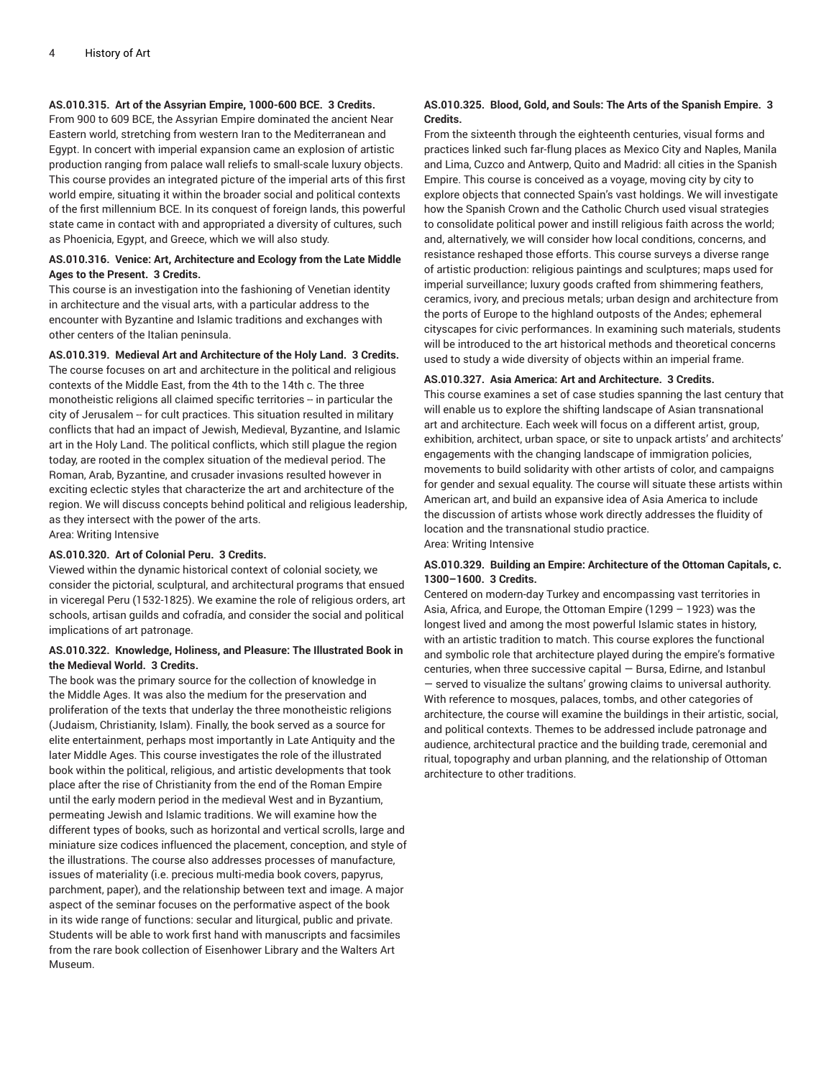#### **AS.010.315. Art of the Assyrian Empire, 1000-600 BCE. 3 Credits.**

From 900 to 609 BCE, the Assyrian Empire dominated the ancient Near Eastern world, stretching from western Iran to the Mediterranean and Egypt. In concert with imperial expansion came an explosion of artistic production ranging from palace wall reliefs to small-scale luxury objects. This course provides an integrated picture of the imperial arts of this first world empire, situating it within the broader social and political contexts of the first millennium BCE. In its conquest of foreign lands, this powerful state came in contact with and appropriated a diversity of cultures, such as Phoenicia, Egypt, and Greece, which we will also study.

#### **AS.010.316. Venice: Art, Architecture and Ecology from the Late Middle Ages to the Present. 3 Credits.**

This course is an investigation into the fashioning of Venetian identity in architecture and the visual arts, with a particular address to the encounter with Byzantine and Islamic traditions and exchanges with other centers of the Italian peninsula.

**AS.010.319. Medieval Art and Architecture of the Holy Land. 3 Credits.** The course focuses on art and architecture in the political and religious contexts of the Middle East, from the 4th to the 14th c. The three monotheistic religions all claimed specific territories -- in particular the city of Jerusalem -- for cult practices. This situation resulted in military conflicts that had an impact of Jewish, Medieval, Byzantine, and Islamic art in the Holy Land. The political conflicts, which still plague the region today, are rooted in the complex situation of the medieval period. The Roman, Arab, Byzantine, and crusader invasions resulted however in exciting eclectic styles that characterize the art and architecture of the region. We will discuss concepts behind political and religious leadership, as they intersect with the power of the arts. Area: Writing Intensive

#### **AS.010.320. Art of Colonial Peru. 3 Credits.**

Viewed within the dynamic historical context of colonial society, we consider the pictorial, sculptural, and architectural programs that ensued in viceregal Peru (1532-1825). We examine the role of religious orders, art schools, artisan guilds and cofradía, and consider the social and political implications of art patronage.

#### **AS.010.322. Knowledge, Holiness, and Pleasure: The Illustrated Book in the Medieval World. 3 Credits.**

The book was the primary source for the collection of knowledge in the Middle Ages. It was also the medium for the preservation and proliferation of the texts that underlay the three monotheistic religions (Judaism, Christianity, Islam). Finally, the book served as a source for elite entertainment, perhaps most importantly in Late Antiquity and the later Middle Ages. This course investigates the role of the illustrated book within the political, religious, and artistic developments that took place after the rise of Christianity from the end of the Roman Empire until the early modern period in the medieval West and in Byzantium, permeating Jewish and Islamic traditions. We will examine how the different types of books, such as horizontal and vertical scrolls, large and miniature size codices influenced the placement, conception, and style of the illustrations. The course also addresses processes of manufacture, issues of materiality (i.e. precious multi-media book covers, papyrus, parchment, paper), and the relationship between text and image. A major aspect of the seminar focuses on the performative aspect of the book in its wide range of functions: secular and liturgical, public and private. Students will be able to work first hand with manuscripts and facsimiles from the rare book collection of Eisenhower Library and the Walters Art Museum.

#### **AS.010.325. Blood, Gold, and Souls: The Arts of the Spanish Empire. 3 Credits.**

From the sixteenth through the eighteenth centuries, visual forms and practices linked such far-flung places as Mexico City and Naples, Manila and Lima, Cuzco and Antwerp, Quito and Madrid: all cities in the Spanish Empire. This course is conceived as a voyage, moving city by city to explore objects that connected Spain's vast holdings. We will investigate how the Spanish Crown and the Catholic Church used visual strategies to consolidate political power and instill religious faith across the world; and, alternatively, we will consider how local conditions, concerns, and resistance reshaped those efforts. This course surveys a diverse range of artistic production: religious paintings and sculptures; maps used for imperial surveillance; luxury goods crafted from shimmering feathers, ceramics, ivory, and precious metals; urban design and architecture from the ports of Europe to the highland outposts of the Andes; ephemeral cityscapes for civic performances. In examining such materials, students will be introduced to the art historical methods and theoretical concerns used to study a wide diversity of objects within an imperial frame.

#### **AS.010.327. Asia America: Art and Architecture. 3 Credits.**

This course examines a set of case studies spanning the last century that will enable us to explore the shifting landscape of Asian transnational art and architecture. Each week will focus on a different artist, group, exhibition, architect, urban space, or site to unpack artists' and architects' engagements with the changing landscape of immigration policies, movements to build solidarity with other artists of color, and campaigns for gender and sexual equality. The course will situate these artists within American art, and build an expansive idea of Asia America to include the discussion of artists whose work directly addresses the fluidity of location and the transnational studio practice.

Area: Writing Intensive

#### **AS.010.329. Building an Empire: Architecture of the Ottoman Capitals, c. 1300–1600. 3 Credits.**

Centered on modern-day Turkey and encompassing vast territories in Asia, Africa, and Europe, the Ottoman Empire (1299 – 1923) was the longest lived and among the most powerful Islamic states in history, with an artistic tradition to match. This course explores the functional and symbolic role that architecture played during the empire's formative centuries, when three successive capital — Bursa, Edirne, and Istanbul — served to visualize the sultans' growing claims to universal authority. With reference to mosques, palaces, tombs, and other categories of architecture, the course will examine the buildings in their artistic, social, and political contexts. Themes to be addressed include patronage and audience, architectural practice and the building trade, ceremonial and ritual, topography and urban planning, and the relationship of Ottoman architecture to other traditions.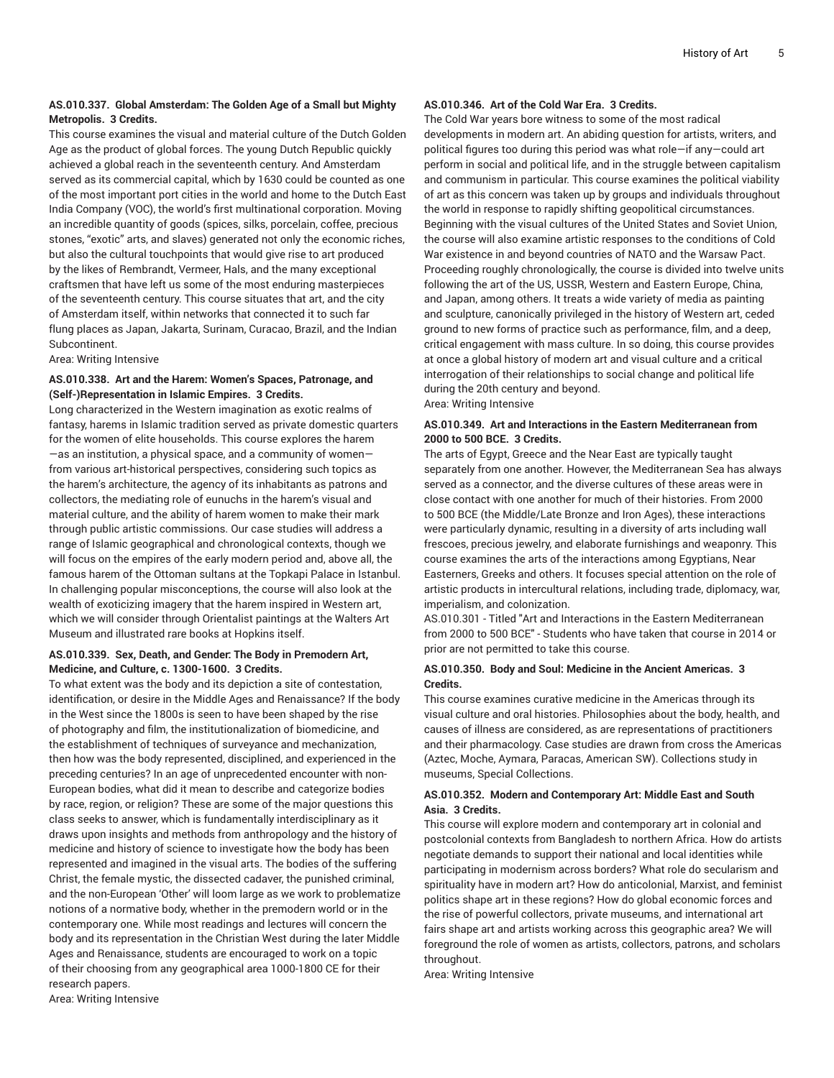#### **AS.010.337. Global Amsterdam: The Golden Age of a Small but Mighty Metropolis. 3 Credits.**

This course examines the visual and material culture of the Dutch Golden Age as the product of global forces. The young Dutch Republic quickly achieved a global reach in the seventeenth century. And Amsterdam served as its commercial capital, which by 1630 could be counted as one of the most important port cities in the world and home to the Dutch East India Company (VOC), the world's first multinational corporation. Moving an incredible quantity of goods (spices, silks, porcelain, coffee, precious stones, "exotic" arts, and slaves) generated not only the economic riches, but also the cultural touchpoints that would give rise to art produced by the likes of Rembrandt, Vermeer, Hals, and the many exceptional craftsmen that have left us some of the most enduring masterpieces of the seventeenth century. This course situates that art, and the city of Amsterdam itself, within networks that connected it to such far flung places as Japan, Jakarta, Surinam, Curacao, Brazil, and the Indian Subcontinent.

#### Area: Writing Intensive

#### **AS.010.338. Art and the Harem: Women's Spaces, Patronage, and (Self-)Representation in Islamic Empires. 3 Credits.**

Long characterized in the Western imagination as exotic realms of fantasy, harems in Islamic tradition served as private domestic quarters for the women of elite households. This course explores the harem —as an institution, a physical space, and a community of women from various art-historical perspectives, considering such topics as the harem's architecture, the agency of its inhabitants as patrons and collectors, the mediating role of eunuchs in the harem's visual and material culture, and the ability of harem women to make their mark through public artistic commissions. Our case studies will address a range of Islamic geographical and chronological contexts, though we will focus on the empires of the early modern period and, above all, the famous harem of the Ottoman sultans at the Topkapi Palace in Istanbul. In challenging popular misconceptions, the course will also look at the wealth of exoticizing imagery that the harem inspired in Western art, which we will consider through Orientalist paintings at the Walters Art Museum and illustrated rare books at Hopkins itself.

#### **AS.010.339. Sex, Death, and Gender: The Body in Premodern Art, Medicine, and Culture, c. 1300-1600. 3 Credits.**

To what extent was the body and its depiction a site of contestation, identification, or desire in the Middle Ages and Renaissance? If the body in the West since the 1800s is seen to have been shaped by the rise of photography and film, the institutionalization of biomedicine, and the establishment of techniques of surveyance and mechanization, then how was the body represented, disciplined, and experienced in the preceding centuries? In an age of unprecedented encounter with non-European bodies, what did it mean to describe and categorize bodies by race, region, or religion? These are some of the major questions this class seeks to answer, which is fundamentally interdisciplinary as it draws upon insights and methods from anthropology and the history of medicine and history of science to investigate how the body has been represented and imagined in the visual arts. The bodies of the suffering Christ, the female mystic, the dissected cadaver, the punished criminal, and the non-European 'Other' will loom large as we work to problematize notions of a normative body, whether in the premodern world or in the contemporary one. While most readings and lectures will concern the body and its representation in the Christian West during the later Middle Ages and Renaissance, students are encouraged to work on a topic of their choosing from any geographical area 1000-1800 CE for their research papers. Area: Writing Intensive

#### **AS.010.346. Art of the Cold War Era. 3 Credits.**

The Cold War years bore witness to some of the most radical developments in modern art. An abiding question for artists, writers, and political figures too during this period was what role—if any—could art perform in social and political life, and in the struggle between capitalism and communism in particular. This course examines the political viability of art as this concern was taken up by groups and individuals throughout the world in response to rapidly shifting geopolitical circumstances. Beginning with the visual cultures of the United States and Soviet Union, the course will also examine artistic responses to the conditions of Cold War existence in and beyond countries of NATO and the Warsaw Pact. Proceeding roughly chronologically, the course is divided into twelve units following the art of the US, USSR, Western and Eastern Europe, China, and Japan, among others. It treats a wide variety of media as painting and sculpture, canonically privileged in the history of Western art, ceded ground to new forms of practice such as performance, film, and a deep, critical engagement with mass culture. In so doing, this course provides at once a global history of modern art and visual culture and a critical interrogation of their relationships to social change and political life during the 20th century and beyond. Area: Writing Intensive

#### **AS.010.349. Art and Interactions in the Eastern Mediterranean from 2000 to 500 BCE. 3 Credits.**

The arts of Egypt, Greece and the Near East are typically taught separately from one another. However, the Mediterranean Sea has always served as a connector, and the diverse cultures of these areas were in close contact with one another for much of their histories. From 2000 to 500 BCE (the Middle/Late Bronze and Iron Ages), these interactions were particularly dynamic, resulting in a diversity of arts including wall frescoes, precious jewelry, and elaborate furnishings and weaponry. This course examines the arts of the interactions among Egyptians, Near Easterners, Greeks and others. It focuses special attention on the role of artistic products in intercultural relations, including trade, diplomacy, war, imperialism, and colonization.

AS.010.301 - Titled "Art and Interactions in the Eastern Mediterranean from 2000 to 500 BCE" - Students who have taken that course in 2014 or prior are not permitted to take this course.

#### **AS.010.350. Body and Soul: Medicine in the Ancient Americas. 3 Credits.**

This course examines curative medicine in the Americas through its visual culture and oral histories. Philosophies about the body, health, and causes of illness are considered, as are representations of practitioners and their pharmacology. Case studies are drawn from cross the Americas (Aztec, Moche, Aymara, Paracas, American SW). Collections study in museums, Special Collections.

#### **AS.010.352. Modern and Contemporary Art: Middle East and South Asia. 3 Credits.**

This course will explore modern and contemporary art in colonial and postcolonial contexts from Bangladesh to northern Africa. How do artists negotiate demands to support their national and local identities while participating in modernism across borders? What role do secularism and spirituality have in modern art? How do anticolonial, Marxist, and feminist politics shape art in these regions? How do global economic forces and the rise of powerful collectors, private museums, and international art fairs shape art and artists working across this geographic area? We will foreground the role of women as artists, collectors, patrons, and scholars throughout.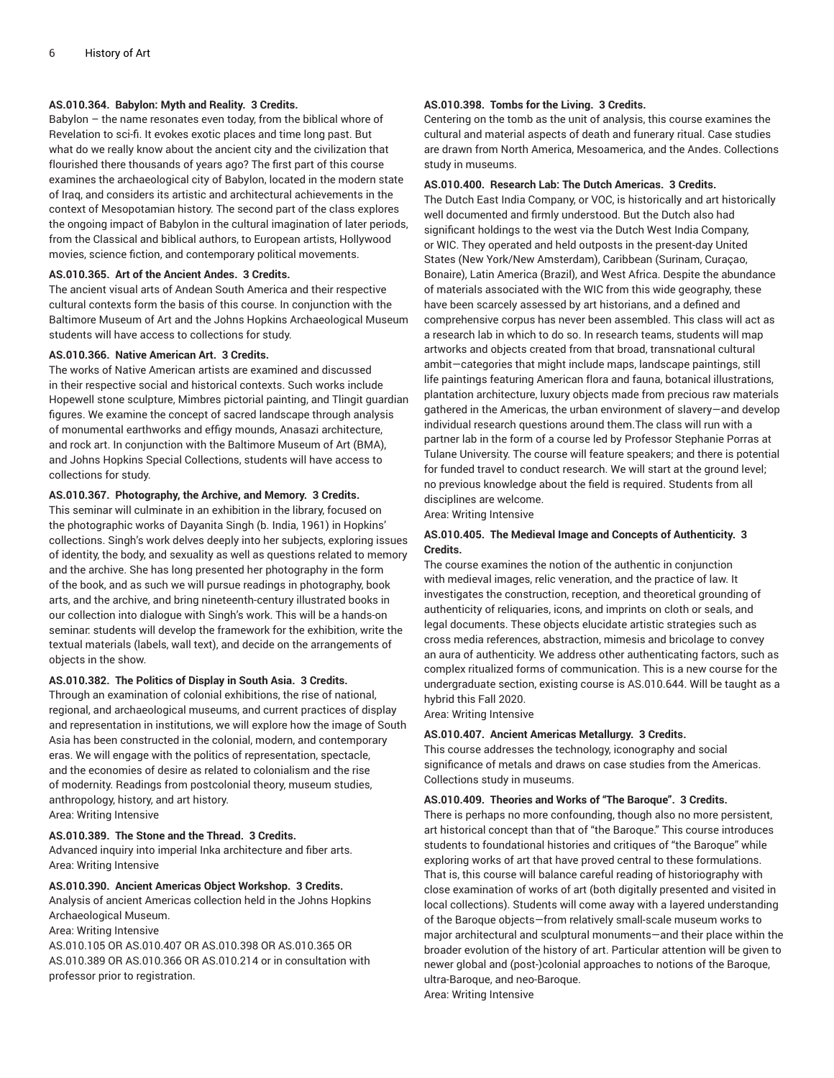#### **AS.010.364. Babylon: Myth and Reality. 3 Credits.**

Babylon – the name resonates even today, from the biblical whore of Revelation to sci-fi. It evokes exotic places and time long past. But what do we really know about the ancient city and the civilization that flourished there thousands of years ago? The first part of this course examines the archaeological city of Babylon, located in the modern state of Iraq, and considers its artistic and architectural achievements in the context of Mesopotamian history. The second part of the class explores the ongoing impact of Babylon in the cultural imagination of later periods, from the Classical and biblical authors, to European artists, Hollywood movies, science fiction, and contemporary political movements.

#### **AS.010.365. Art of the Ancient Andes. 3 Credits.**

The ancient visual arts of Andean South America and their respective cultural contexts form the basis of this course. In conjunction with the Baltimore Museum of Art and the Johns Hopkins Archaeological Museum students will have access to collections for study.

#### **AS.010.366. Native American Art. 3 Credits.**

The works of Native American artists are examined and discussed in their respective social and historical contexts. Such works include Hopewell stone sculpture, Mimbres pictorial painting, and Tlingit guardian figures. We examine the concept of sacred landscape through analysis of monumental earthworks and effigy mounds, Anasazi architecture, and rock art. In conjunction with the Baltimore Museum of Art (BMA), and Johns Hopkins Special Collections, students will have access to collections for study.

#### **AS.010.367. Photography, the Archive, and Memory. 3 Credits.**

This seminar will culminate in an exhibition in the library, focused on the photographic works of Dayanita Singh (b. India, 1961) in Hopkins' collections. Singh's work delves deeply into her subjects, exploring issues of identity, the body, and sexuality as well as questions related to memory and the archive. She has long presented her photography in the form of the book, and as such we will pursue readings in photography, book arts, and the archive, and bring nineteenth-century illustrated books in our collection into dialogue with Singh's work. This will be a hands-on seminar: students will develop the framework for the exhibition, write the textual materials (labels, wall text), and decide on the arrangements of objects in the show.

#### **AS.010.382. The Politics of Display in South Asia. 3 Credits.**

Through an examination of colonial exhibitions, the rise of national, regional, and archaeological museums, and current practices of display and representation in institutions, we will explore how the image of South Asia has been constructed in the colonial, modern, and contemporary eras. We will engage with the politics of representation, spectacle, and the economies of desire as related to colonialism and the rise of modernity. Readings from postcolonial theory, museum studies, anthropology, history, and art history. Area: Writing Intensive

#### **AS.010.389. The Stone and the Thread. 3 Credits.**

Advanced inquiry into imperial Inka architecture and fiber arts. Area: Writing Intensive

**AS.010.390. Ancient Americas Object Workshop. 3 Credits.** Analysis of ancient Americas collection held in the Johns Hopkins Archaeological Museum.

Area: Writing Intensive

AS.010.105 OR AS.010.407 OR AS.010.398 OR AS.010.365 OR AS.010.389 OR AS.010.366 OR AS.010.214 or in consultation with professor prior to registration.

#### **AS.010.398. Tombs for the Living. 3 Credits.**

Centering on the tomb as the unit of analysis, this course examines the cultural and material aspects of death and funerary ritual. Case studies are drawn from North America, Mesoamerica, and the Andes. Collections study in museums.

#### **AS.010.400. Research Lab: The Dutch Americas. 3 Credits.**

The Dutch East India Company, or VOC, is historically and art historically well documented and firmly understood. But the Dutch also had significant holdings to the west via the Dutch West India Company, or WIC. They operated and held outposts in the present-day United States (New York/New Amsterdam), Caribbean (Surinam, Curaçao, Bonaire), Latin America (Brazil), and West Africa. Despite the abundance of materials associated with the WIC from this wide geography, these have been scarcely assessed by art historians, and a defined and comprehensive corpus has never been assembled. This class will act as a research lab in which to do so. In research teams, students will map artworks and objects created from that broad, transnational cultural ambit—categories that might include maps, landscape paintings, still life paintings featuring American flora and fauna, botanical illustrations, plantation architecture, luxury objects made from precious raw materials gathered in the Americas, the urban environment of slavery—and develop individual research questions around them.The class will run with a partner lab in the form of a course led by Professor Stephanie Porras at Tulane University. The course will feature speakers; and there is potential for funded travel to conduct research. We will start at the ground level; no previous knowledge about the field is required. Students from all disciplines are welcome.

Area: Writing Intensive

#### **AS.010.405. The Medieval Image and Concepts of Authenticity. 3 Credits.**

The course examines the notion of the authentic in conjunction with medieval images, relic veneration, and the practice of law. It investigates the construction, reception, and theoretical grounding of authenticity of reliquaries, icons, and imprints on cloth or seals, and legal documents. These objects elucidate artistic strategies such as cross media references, abstraction, mimesis and bricolage to convey an aura of authenticity. We address other authenticating factors, such as complex ritualized forms of communication. This is a new course for the undergraduate section, existing course is AS.010.644. Will be taught as a hybrid this Fall 2020.

Area: Writing Intensive

#### **AS.010.407. Ancient Americas Metallurgy. 3 Credits.**

This course addresses the technology, iconography and social significance of metals and draws on case studies from the Americas. Collections study in museums.

#### **AS.010.409. Theories and Works of "The Baroque". 3 Credits.**

There is perhaps no more confounding, though also no more persistent, art historical concept than that of "the Baroque." This course introduces students to foundational histories and critiques of "the Baroque" while exploring works of art that have proved central to these formulations. That is, this course will balance careful reading of historiography with close examination of works of art (both digitally presented and visited in local collections). Students will come away with a layered understanding of the Baroque objects—from relatively small-scale museum works to major architectural and sculptural monuments—and their place within the broader evolution of the history of art. Particular attention will be given to newer global and (post-)colonial approaches to notions of the Baroque, ultra-Baroque, and neo-Baroque.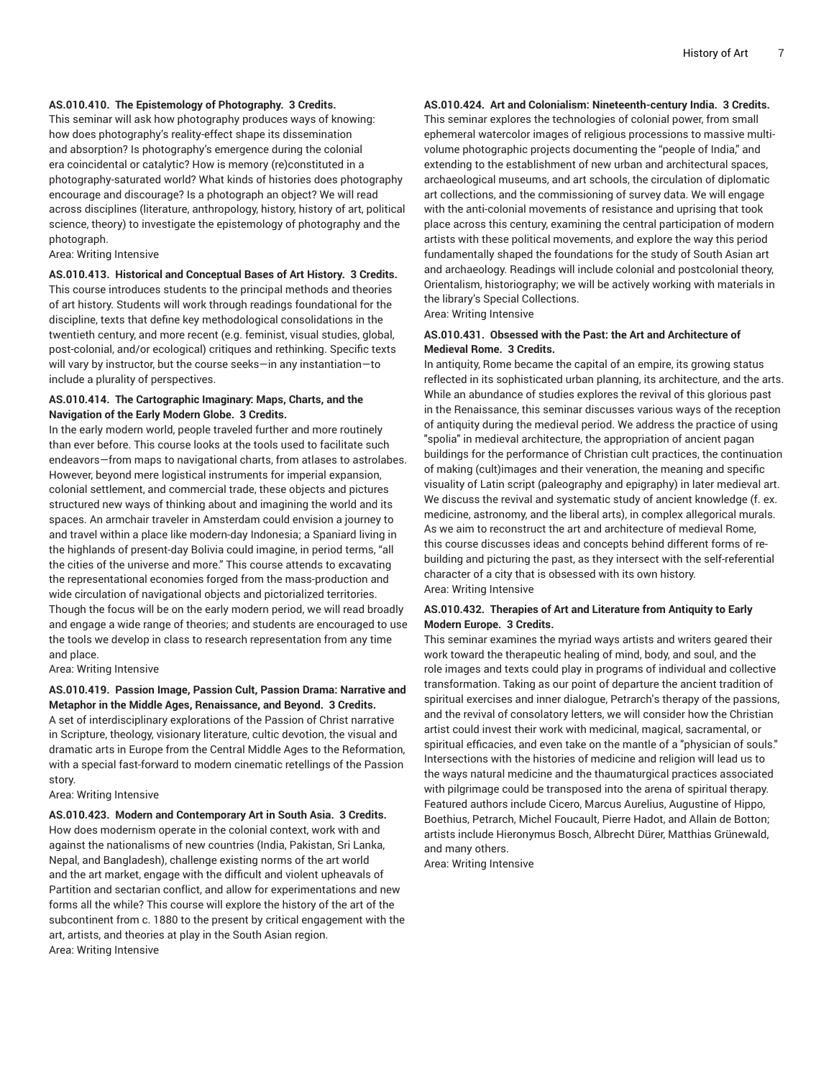#### **AS.010.410. The Epistemology of Photography. 3 Credits.**

This seminar will ask how photography produces ways of knowing: how does photography's reality-effect shape its dissemination and absorption? Is photography's emergence during the colonial era coincidental or catalytic? How is memory (re)constituted in a photography-saturated world? What kinds of histories does photography encourage and discourage? Is a photograph an object? We will read across disciplines (literature, anthropology, history, history of art, political science, theory) to investigate the epistemology of photography and the photograph.

Area: Writing Intensive

#### **AS.010.413. Historical and Conceptual Bases of Art History. 3 Credits.**

This course introduces students to the principal methods and theories of art history. Students will work through readings foundational for the discipline, texts that define key methodological consolidations in the twentieth century, and more recent (e.g. feminist, visual studies, global, post-colonial, and/or ecological) critiques and rethinking. Specific texts will vary by instructor, but the course seeks—in any instantiation—to include a plurality of perspectives.

#### **AS.010.414. The Cartographic Imaginary: Maps, Charts, and the Navigation of the Early Modern Globe. 3 Credits.**

In the early modern world, people traveled further and more routinely than ever before. This course looks at the tools used to facilitate such endeavors—from maps to navigational charts, from atlases to astrolabes. However, beyond mere logistical instruments for imperial expansion, colonial settlement, and commercial trade, these objects and pictures structured new ways of thinking about and imagining the world and its spaces. An armchair traveler in Amsterdam could envision a journey to and travel within a place like modern-day Indonesia; a Spaniard living in the highlands of present-day Bolivia could imagine, in period terms, "all the cities of the universe and more." This course attends to excavating the representational economies forged from the mass-production and wide circulation of navigational objects and pictorialized territories. Though the focus will be on the early modern period, we will read broadly and engage a wide range of theories; and students are encouraged to use the tools we develop in class to research representation from any time and place.

Area: Writing Intensive

#### **AS.010.419. Passion Image, Passion Cult, Passion Drama: Narrative and Metaphor in the Middle Ages, Renaissance, and Beyond. 3 Credits.**

A set of interdisciplinary explorations of the Passion of Christ narrative in Scripture, theology, visionary literature, cultic devotion, the visual and dramatic arts in Europe from the Central Middle Ages to the Reformation, with a special fast-forward to modern cinematic retellings of the Passion story.

Area: Writing Intensive

**AS.010.423. Modern and Contemporary Art in South Asia. 3 Credits.** How does modernism operate in the colonial context, work with and against the nationalisms of new countries (India, Pakistan, Sri Lanka, Nepal, and Bangladesh), challenge existing norms of the art world and the art market, engage with the difficult and violent upheavals of Partition and sectarian conflict, and allow for experimentations and new forms all the while? This course will explore the history of the art of the subcontinent from c. 1880 to the present by critical engagement with the art, artists, and theories at play in the South Asian region. Area: Writing Intensive

**AS.010.424. Art and Colonialism: Nineteenth-century India. 3 Credits.**

This seminar explores the technologies of colonial power, from small ephemeral watercolor images of religious processions to massive multivolume photographic projects documenting the "people of India," and extending to the establishment of new urban and architectural spaces, archaeological museums, and art schools, the circulation of diplomatic art collections, and the commissioning of survey data. We will engage with the anti-colonial movements of resistance and uprising that took place across this century, examining the central participation of modern artists with these political movements, and explore the way this period fundamentally shaped the foundations for the study of South Asian art and archaeology. Readings will include colonial and postcolonial theory, Orientalism, historiography; we will be actively working with materials in the library's Special Collections.

Area: Writing Intensive

#### **AS.010.431. Obsessed with the Past: the Art and Architecture of Medieval Rome. 3 Credits.**

In antiquity, Rome became the capital of an empire, its growing status reflected in its sophisticated urban planning, its architecture, and the arts. While an abundance of studies explores the revival of this glorious past in the Renaissance, this seminar discusses various ways of the reception of antiquity during the medieval period. We address the practice of using "spolia" in medieval architecture, the appropriation of ancient pagan buildings for the performance of Christian cult practices, the continuation of making (cult)images and their veneration, the meaning and specific visuality of Latin script (paleography and epigraphy) in later medieval art. We discuss the revival and systematic study of ancient knowledge (f. ex. medicine, astronomy, and the liberal arts), in complex allegorical murals. As we aim to reconstruct the art and architecture of medieval Rome, this course discusses ideas and concepts behind different forms of rebuilding and picturing the past, as they intersect with the self-referential character of a city that is obsessed with its own history. Area: Writing Intensive

#### **AS.010.432. Therapies of Art and Literature from Antiquity to Early Modern Europe. 3 Credits.**

This seminar examines the myriad ways artists and writers geared their work toward the therapeutic healing of mind, body, and soul, and the role images and texts could play in programs of individual and collective transformation. Taking as our point of departure the ancient tradition of spiritual exercises and inner dialogue, Petrarch's therapy of the passions, and the revival of consolatory letters, we will consider how the Christian artist could invest their work with medicinal, magical, sacramental, or spiritual efficacies, and even take on the mantle of a "physician of souls." Intersections with the histories of medicine and religion will lead us to the ways natural medicine and the thaumaturgical practices associated with pilgrimage could be transposed into the arena of spiritual therapy. Featured authors include Cicero, Marcus Aurelius, Augustine of Hippo, Boethius, Petrarch, Michel Foucault, Pierre Hadot, and Allain de Botton; artists include Hieronymus Bosch, Albrecht Dürer, Matthias Grünewald, and many others.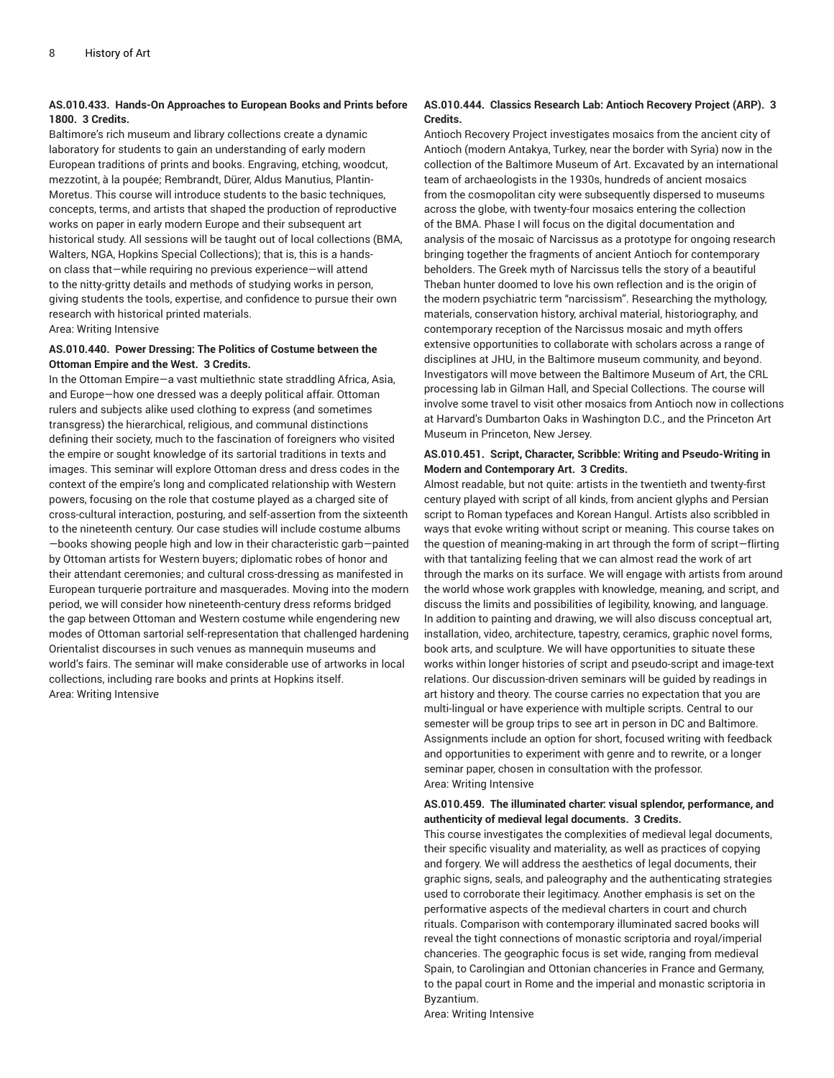#### **AS.010.433. Hands-On Approaches to European Books and Prints before 1800. 3 Credits.**

Baltimore's rich museum and library collections create a dynamic laboratory for students to gain an understanding of early modern European traditions of prints and books. Engraving, etching, woodcut, mezzotint, à la poupée; Rembrandt, Dürer, Aldus Manutius, Plantin-Moretus. This course will introduce students to the basic techniques, concepts, terms, and artists that shaped the production of reproductive works on paper in early modern Europe and their subsequent art historical study. All sessions will be taught out of local collections (BMA, Walters, NGA, Hopkins Special Collections); that is, this is a handson class that—while requiring no previous experience—will attend to the nitty-gritty details and methods of studying works in person, giving students the tools, expertise, and confidence to pursue their own research with historical printed materials. Area: Writing Intensive

#### **AS.010.440. Power Dressing: The Politics of Costume between the Ottoman Empire and the West. 3 Credits.**

In the Ottoman Empire—a vast multiethnic state straddling Africa, Asia, and Europe—how one dressed was a deeply political affair. Ottoman rulers and subjects alike used clothing to express (and sometimes transgress) the hierarchical, religious, and communal distinctions defining their society, much to the fascination of foreigners who visited the empire or sought knowledge of its sartorial traditions in texts and images. This seminar will explore Ottoman dress and dress codes in the context of the empire's long and complicated relationship with Western powers, focusing on the role that costume played as a charged site of cross-cultural interaction, posturing, and self-assertion from the sixteenth to the nineteenth century. Our case studies will include costume albums —books showing people high and low in their characteristic garb—painted by Ottoman artists for Western buyers; diplomatic robes of honor and their attendant ceremonies; and cultural cross-dressing as manifested in European turquerie portraiture and masquerades. Moving into the modern period, we will consider how nineteenth-century dress reforms bridged the gap between Ottoman and Western costume while engendering new modes of Ottoman sartorial self-representation that challenged hardening Orientalist discourses in such venues as mannequin museums and world's fairs. The seminar will make considerable use of artworks in local collections, including rare books and prints at Hopkins itself. Area: Writing Intensive

#### **AS.010.444. Classics Research Lab: Antioch Recovery Project (ARP). 3 Credits.**

Antioch Recovery Project investigates mosaics from the ancient city of Antioch (modern Antakya, Turkey, near the border with Syria) now in the collection of the Baltimore Museum of Art. Excavated by an international team of archaeologists in the 1930s, hundreds of ancient mosaics from the cosmopolitan city were subsequently dispersed to museums across the globe, with twenty-four mosaics entering the collection of the BMA. Phase I will focus on the digital documentation and analysis of the mosaic of Narcissus as a prototype for ongoing research bringing together the fragments of ancient Antioch for contemporary beholders. The Greek myth of Narcissus tells the story of a beautiful Theban hunter doomed to love his own reflection and is the origin of the modern psychiatric term "narcissism". Researching the mythology, materials, conservation history, archival material, historiography, and contemporary reception of the Narcissus mosaic and myth offers extensive opportunities to collaborate with scholars across a range of disciplines at JHU, in the Baltimore museum community, and beyond. Investigators will move between the Baltimore Museum of Art, the CRL processing lab in Gilman Hall, and Special Collections. The course will involve some travel to visit other mosaics from Antioch now in collections at Harvard's Dumbarton Oaks in Washington D.C., and the Princeton Art Museum in Princeton, New Jersey.

#### **AS.010.451. Script, Character, Scribble: Writing and Pseudo-Writing in Modern and Contemporary Art. 3 Credits.**

Almost readable, but not quite: artists in the twentieth and twenty-first century played with script of all kinds, from ancient glyphs and Persian script to Roman typefaces and Korean Hangul. Artists also scribbled in ways that evoke writing without script or meaning. This course takes on the question of meaning-making in art through the form of script—flirting with that tantalizing feeling that we can almost read the work of art through the marks on its surface. We will engage with artists from around the world whose work grapples with knowledge, meaning, and script, and discuss the limits and possibilities of legibility, knowing, and language. In addition to painting and drawing, we will also discuss conceptual art, installation, video, architecture, tapestry, ceramics, graphic novel forms, book arts, and sculpture. We will have opportunities to situate these works within longer histories of script and pseudo-script and image-text relations. Our discussion-driven seminars will be guided by readings in art history and theory. The course carries no expectation that you are multi-lingual or have experience with multiple scripts. Central to our semester will be group trips to see art in person in DC and Baltimore. Assignments include an option for short, focused writing with feedback and opportunities to experiment with genre and to rewrite, or a longer seminar paper, chosen in consultation with the professor. Area: Writing Intensive

#### **AS.010.459. The illuminated charter: visual splendor, performance, and authenticity of medieval legal documents. 3 Credits.**

This course investigates the complexities of medieval legal documents, their specific visuality and materiality, as well as practices of copying and forgery. We will address the aesthetics of legal documents, their graphic signs, seals, and paleography and the authenticating strategies used to corroborate their legitimacy. Another emphasis is set on the performative aspects of the medieval charters in court and church rituals. Comparison with contemporary illuminated sacred books will reveal the tight connections of monastic scriptoria and royal/imperial chanceries. The geographic focus is set wide, ranging from medieval Spain, to Carolingian and Ottonian chanceries in France and Germany, to the papal court in Rome and the imperial and monastic scriptoria in Byzantium.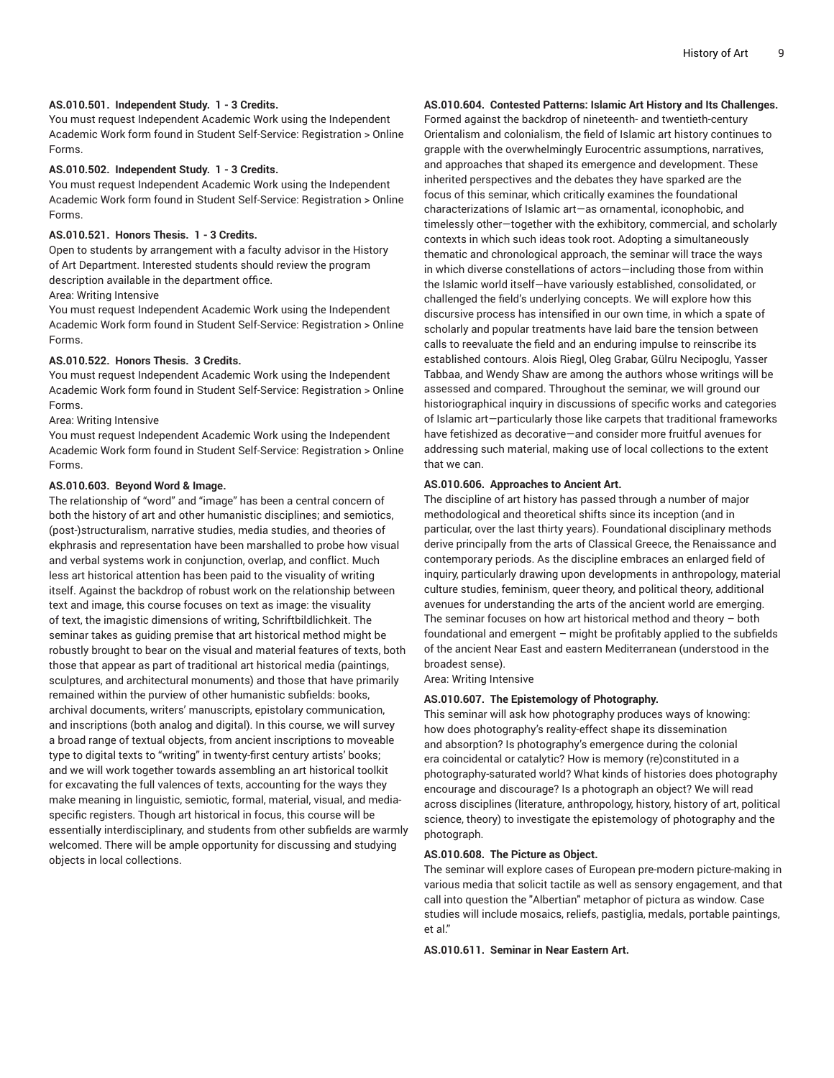#### **AS.010.501. Independent Study. 1 - 3 Credits.**

You must request Independent Academic Work using the Independent Academic Work form found in Student Self-Service: Registration > Online Forms.

#### **AS.010.502. Independent Study. 1 - 3 Credits.**

You must request Independent Academic Work using the Independent Academic Work form found in Student Self-Service: Registration > Online Forms.

#### **AS.010.521. Honors Thesis. 1 - 3 Credits.**

Open to students by arrangement with a faculty advisor in the History of Art Department. Interested students should review the program description available in the department office.

#### Area: Writing Intensive

You must request Independent Academic Work using the Independent Academic Work form found in Student Self-Service: Registration > Online Forms.

#### **AS.010.522. Honors Thesis. 3 Credits.**

You must request Independent Academic Work using the Independent Academic Work form found in Student Self-Service: Registration > Online Forms.

#### Area: Writing Intensive

You must request Independent Academic Work using the Independent Academic Work form found in Student Self-Service: Registration > Online Forms.

#### **AS.010.603. Beyond Word & Image.**

The relationship of "word" and "image" has been a central concern of both the history of art and other humanistic disciplines; and semiotics, (post-)structuralism, narrative studies, media studies, and theories of ekphrasis and representation have been marshalled to probe how visual and verbal systems work in conjunction, overlap, and conflict. Much less art historical attention has been paid to the visuality of writing itself. Against the backdrop of robust work on the relationship between text and image, this course focuses on text as image: the visuality of text, the imagistic dimensions of writing, Schriftbildlichkeit. The seminar takes as guiding premise that art historical method might be robustly brought to bear on the visual and material features of texts, both those that appear as part of traditional art historical media (paintings, sculptures, and architectural monuments) and those that have primarily remained within the purview of other humanistic subfields: books, archival documents, writers' manuscripts, epistolary communication, and inscriptions (both analog and digital). In this course, we will survey a broad range of textual objects, from ancient inscriptions to moveable type to digital texts to "writing" in twenty-first century artists' books; and we will work together towards assembling an art historical toolkit for excavating the full valences of texts, accounting for the ways they make meaning in linguistic, semiotic, formal, material, visual, and mediaspecific registers. Though art historical in focus, this course will be essentially interdisciplinary, and students from other subfields are warmly welcomed. There will be ample opportunity for discussing and studying objects in local collections.

#### **AS.010.604. Contested Patterns: Islamic Art History and Its Challenges.**

Formed against the backdrop of nineteenth- and twentieth-century Orientalism and colonialism, the field of Islamic art history continues to grapple with the overwhelmingly Eurocentric assumptions, narratives, and approaches that shaped its emergence and development. These inherited perspectives and the debates they have sparked are the focus of this seminar, which critically examines the foundational characterizations of Islamic art—as ornamental, iconophobic, and timelessly other—together with the exhibitory, commercial, and scholarly contexts in which such ideas took root. Adopting a simultaneously thematic and chronological approach, the seminar will trace the ways in which diverse constellations of actors—including those from within the Islamic world itself—have variously established, consolidated, or challenged the field's underlying concepts. We will explore how this discursive process has intensified in our own time, in which a spate of scholarly and popular treatments have laid bare the tension between calls to reevaluate the field and an enduring impulse to reinscribe its established contours. Alois Riegl, Oleg Grabar, Gülru Necipoglu, Yasser Tabbaa, and Wendy Shaw are among the authors whose writings will be assessed and compared. Throughout the seminar, we will ground our historiographical inquiry in discussions of specific works and categories of Islamic art—particularly those like carpets that traditional frameworks have fetishized as decorative—and consider more fruitful avenues for addressing such material, making use of local collections to the extent that we can.

#### **AS.010.606. Approaches to Ancient Art.**

The discipline of art history has passed through a number of major methodological and theoretical shifts since its inception (and in particular, over the last thirty years). Foundational disciplinary methods derive principally from the arts of Classical Greece, the Renaissance and contemporary periods. As the discipline embraces an enlarged field of inquiry, particularly drawing upon developments in anthropology, material culture studies, feminism, queer theory, and political theory, additional avenues for understanding the arts of the ancient world are emerging. The seminar focuses on how art historical method and theory – both foundational and emergent – might be profitably applied to the subfields of the ancient Near East and eastern Mediterranean (understood in the broadest sense).

Area: Writing Intensive

#### **AS.010.607. The Epistemology of Photography.**

This seminar will ask how photography produces ways of knowing: how does photography's reality-effect shape its dissemination and absorption? Is photography's emergence during the colonial era coincidental or catalytic? How is memory (re)constituted in a photography-saturated world? What kinds of histories does photography encourage and discourage? Is a photograph an object? We will read across disciplines (literature, anthropology, history, history of art, political science, theory) to investigate the epistemology of photography and the photograph.

#### **AS.010.608. The Picture as Object.**

The seminar will explore cases of European pre-modern picture-making in various media that solicit tactile as well as sensory engagement, and that call into question the "Albertian" metaphor of pictura as window. Case studies will include mosaics, reliefs, pastiglia, medals, portable paintings, et al."

**AS.010.611. Seminar in Near Eastern Art.**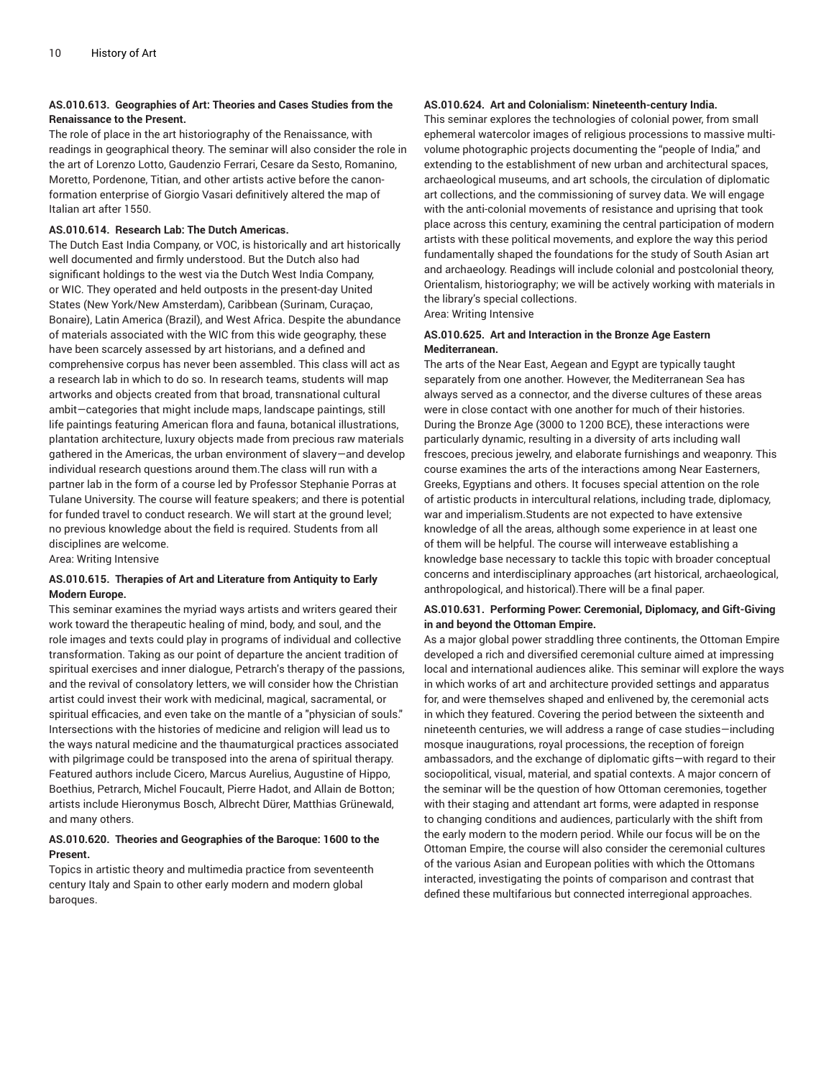#### **AS.010.613. Geographies of Art: Theories and Cases Studies from the Renaissance to the Present.**

The role of place in the art historiography of the Renaissance, with readings in geographical theory. The seminar will also consider the role in the art of Lorenzo Lotto, Gaudenzio Ferrari, Cesare da Sesto, Romanino, Moretto, Pordenone, Titian, and other artists active before the canonformation enterprise of Giorgio Vasari definitively altered the map of Italian art after 1550.

#### **AS.010.614. Research Lab: The Dutch Americas.**

The Dutch East India Company, or VOC, is historically and art historically well documented and firmly understood. But the Dutch also had significant holdings to the west via the Dutch West India Company, or WIC. They operated and held outposts in the present-day United States (New York/New Amsterdam), Caribbean (Surinam, Curaçao, Bonaire), Latin America (Brazil), and West Africa. Despite the abundance of materials associated with the WIC from this wide geography, these have been scarcely assessed by art historians, and a defined and comprehensive corpus has never been assembled. This class will act as a research lab in which to do so. In research teams, students will map artworks and objects created from that broad, transnational cultural ambit—categories that might include maps, landscape paintings, still life paintings featuring American flora and fauna, botanical illustrations, plantation architecture, luxury objects made from precious raw materials gathered in the Americas, the urban environment of slavery—and develop individual research questions around them.The class will run with a partner lab in the form of a course led by Professor Stephanie Porras at Tulane University. The course will feature speakers; and there is potential for funded travel to conduct research. We will start at the ground level; no previous knowledge about the field is required. Students from all disciplines are welcome.

Area: Writing Intensive

#### **AS.010.615. Therapies of Art and Literature from Antiquity to Early Modern Europe.**

This seminar examines the myriad ways artists and writers geared their work toward the therapeutic healing of mind, body, and soul, and the role images and texts could play in programs of individual and collective transformation. Taking as our point of departure the ancient tradition of spiritual exercises and inner dialogue, Petrarch's therapy of the passions, and the revival of consolatory letters, we will consider how the Christian artist could invest their work with medicinal, magical, sacramental, or spiritual efficacies, and even take on the mantle of a "physician of souls." Intersections with the histories of medicine and religion will lead us to the ways natural medicine and the thaumaturgical practices associated with pilgrimage could be transposed into the arena of spiritual therapy. Featured authors include Cicero, Marcus Aurelius, Augustine of Hippo, Boethius, Petrarch, Michel Foucault, Pierre Hadot, and Allain de Botton; artists include Hieronymus Bosch, Albrecht Dürer, Matthias Grünewald, and many others.

#### **AS.010.620. Theories and Geographies of the Baroque: 1600 to the Present.**

Topics in artistic theory and multimedia practice from seventeenth century Italy and Spain to other early modern and modern global baroques.

#### **AS.010.624. Art and Colonialism: Nineteenth-century India.**

This seminar explores the technologies of colonial power, from small ephemeral watercolor images of religious processions to massive multivolume photographic projects documenting the "people of India," and extending to the establishment of new urban and architectural spaces, archaeological museums, and art schools, the circulation of diplomatic art collections, and the commissioning of survey data. We will engage with the anti-colonial movements of resistance and uprising that took place across this century, examining the central participation of modern artists with these political movements, and explore the way this period fundamentally shaped the foundations for the study of South Asian art and archaeology. Readings will include colonial and postcolonial theory, Orientalism, historiography; we will be actively working with materials in the library's special collections.

Area: Writing Intensive

#### **AS.010.625. Art and Interaction in the Bronze Age Eastern Mediterranean.**

The arts of the Near East, Aegean and Egypt are typically taught separately from one another. However, the Mediterranean Sea has always served as a connector, and the diverse cultures of these areas were in close contact with one another for much of their histories. During the Bronze Age (3000 to 1200 BCE), these interactions were particularly dynamic, resulting in a diversity of arts including wall frescoes, precious jewelry, and elaborate furnishings and weaponry. This course examines the arts of the interactions among Near Easterners, Greeks, Egyptians and others. It focuses special attention on the role of artistic products in intercultural relations, including trade, diplomacy, war and imperialism.Students are not expected to have extensive knowledge of all the areas, although some experience in at least one of them will be helpful. The course will interweave establishing a knowledge base necessary to tackle this topic with broader conceptual concerns and interdisciplinary approaches (art historical, archaeological, anthropological, and historical).There will be a final paper.

#### **AS.010.631. Performing Power: Ceremonial, Diplomacy, and Gift-Giving in and beyond the Ottoman Empire.**

As a major global power straddling three continents, the Ottoman Empire developed a rich and diversified ceremonial culture aimed at impressing local and international audiences alike. This seminar will explore the ways in which works of art and architecture provided settings and apparatus for, and were themselves shaped and enlivened by, the ceremonial acts in which they featured. Covering the period between the sixteenth and nineteenth centuries, we will address a range of case studies—including mosque inaugurations, royal processions, the reception of foreign ambassadors, and the exchange of diplomatic gifts—with regard to their sociopolitical, visual, material, and spatial contexts. A major concern of the seminar will be the question of how Ottoman ceremonies, together with their staging and attendant art forms, were adapted in response to changing conditions and audiences, particularly with the shift from the early modern to the modern period. While our focus will be on the Ottoman Empire, the course will also consider the ceremonial cultures of the various Asian and European polities with which the Ottomans interacted, investigating the points of comparison and contrast that defined these multifarious but connected interregional approaches.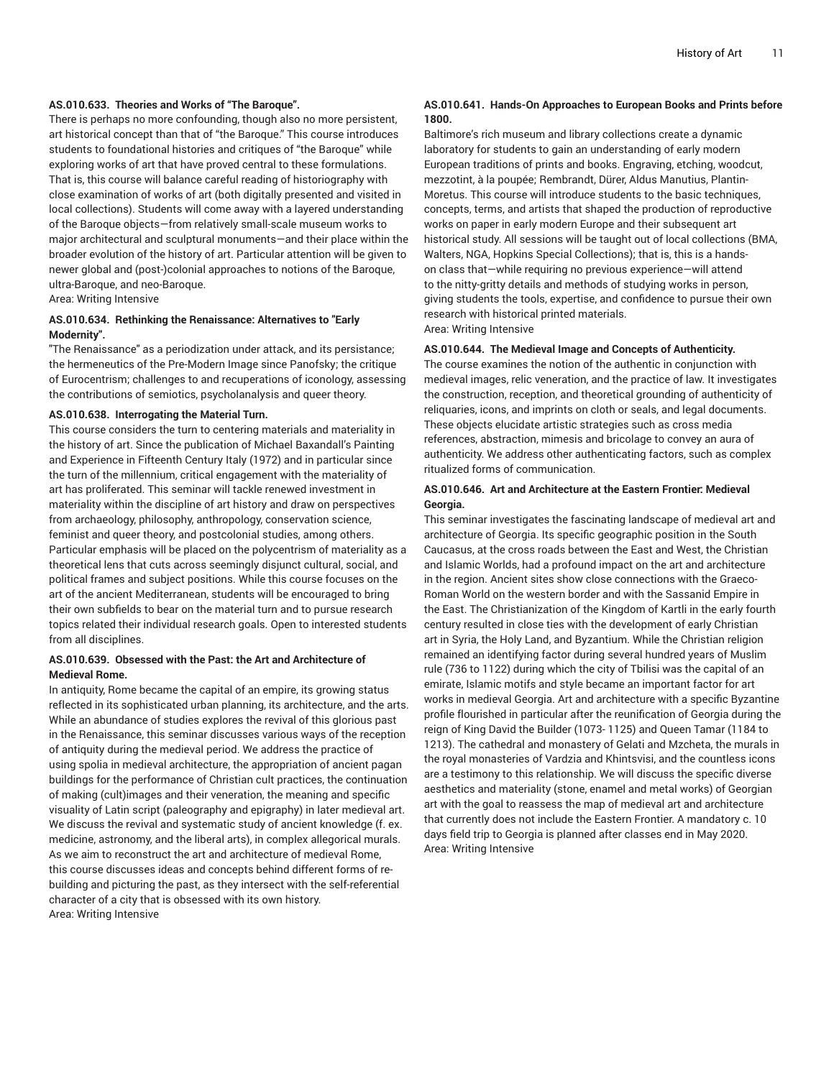#### **AS.010.633. Theories and Works of "The Baroque".**

There is perhaps no more confounding, though also no more persistent, art historical concept than that of "the Baroque." This course introduces students to foundational histories and critiques of "the Baroque" while exploring works of art that have proved central to these formulations. That is, this course will balance careful reading of historiography with close examination of works of art (both digitally presented and visited in local collections). Students will come away with a layered understanding of the Baroque objects—from relatively small-scale museum works to major architectural and sculptural monuments—and their place within the broader evolution of the history of art. Particular attention will be given to newer global and (post-)colonial approaches to notions of the Baroque, ultra-Baroque, and neo-Baroque.

Area: Writing Intensive

#### **AS.010.634. Rethinking the Renaissance: Alternatives to "Early Modernity".**

"The Renaissance" as a periodization under attack, and its persistance; the hermeneutics of the Pre-Modern Image since Panofsky; the critique of Eurocentrism; challenges to and recuperations of iconology, assessing the contributions of semiotics, psycholanalysis and queer theory.

#### **AS.010.638. Interrogating the Material Turn.**

This course considers the turn to centering materials and materiality in the history of art. Since the publication of Michael Baxandall's Painting and Experience in Fifteenth Century Italy (1972) and in particular since the turn of the millennium, critical engagement with the materiality of art has proliferated. This seminar will tackle renewed investment in materiality within the discipline of art history and draw on perspectives from archaeology, philosophy, anthropology, conservation science, feminist and queer theory, and postcolonial studies, among others. Particular emphasis will be placed on the polycentrism of materiality as a theoretical lens that cuts across seemingly disjunct cultural, social, and political frames and subject positions. While this course focuses on the art of the ancient Mediterranean, students will be encouraged to bring their own subfields to bear on the material turn and to pursue research topics related their individual research goals. Open to interested students from all disciplines.

#### **AS.010.639. Obsessed with the Past: the Art and Architecture of Medieval Rome.**

In antiquity, Rome became the capital of an empire, its growing status reflected in its sophisticated urban planning, its architecture, and the arts. While an abundance of studies explores the revival of this glorious past in the Renaissance, this seminar discusses various ways of the reception of antiquity during the medieval period. We address the practice of using spolia in medieval architecture, the appropriation of ancient pagan buildings for the performance of Christian cult practices, the continuation of making (cult)images and their veneration, the meaning and specific visuality of Latin script (paleography and epigraphy) in later medieval art. We discuss the revival and systematic study of ancient knowledge (f. ex. medicine, astronomy, and the liberal arts), in complex allegorical murals. As we aim to reconstruct the art and architecture of medieval Rome, this course discusses ideas and concepts behind different forms of rebuilding and picturing the past, as they intersect with the self-referential character of a city that is obsessed with its own history. Area: Writing Intensive

#### **AS.010.641. Hands-On Approaches to European Books and Prints before 1800.**

Baltimore's rich museum and library collections create a dynamic laboratory for students to gain an understanding of early modern European traditions of prints and books. Engraving, etching, woodcut, mezzotint, à la poupée; Rembrandt, Dürer, Aldus Manutius, Plantin-Moretus. This course will introduce students to the basic techniques, concepts, terms, and artists that shaped the production of reproductive works on paper in early modern Europe and their subsequent art historical study. All sessions will be taught out of local collections (BMA, Walters, NGA, Hopkins Special Collections); that is, this is a handson class that—while requiring no previous experience—will attend to the nitty-gritty details and methods of studying works in person, giving students the tools, expertise, and confidence to pursue their own research with historical printed materials. Area: Writing Intensive

#### **AS.010.644. The Medieval Image and Concepts of Authenticity.**

The course examines the notion of the authentic in conjunction with medieval images, relic veneration, and the practice of law. It investigates the construction, reception, and theoretical grounding of authenticity of reliquaries, icons, and imprints on cloth or seals, and legal documents. These objects elucidate artistic strategies such as cross media references, abstraction, mimesis and bricolage to convey an aura of authenticity. We address other authenticating factors, such as complex ritualized forms of communication.

#### **AS.010.646. Art and Architecture at the Eastern Frontier: Medieval Georgia.**

This seminar investigates the fascinating landscape of medieval art and architecture of Georgia. Its specific geographic position in the South Caucasus, at the cross roads between the East and West, the Christian and Islamic Worlds, had a profound impact on the art and architecture in the region. Ancient sites show close connections with the Graeco-Roman World on the western border and with the Sassanid Empire in the East. The Christianization of the Kingdom of Kartli in the early fourth century resulted in close ties with the development of early Christian art in Syria, the Holy Land, and Byzantium. While the Christian religion remained an identifying factor during several hundred years of Muslim rule (736 to 1122) during which the city of Tbilisi was the capital of an emirate, Islamic motifs and style became an important factor for art works in medieval Georgia. Art and architecture with a specific Byzantine profile flourished in particular after the reunification of Georgia during the reign of King David the Builder (1073- 1125) and Queen Tamar (1184 to 1213). The cathedral and monastery of Gelati and Mzcheta, the murals in the royal monasteries of Vardzia and Khintsvisi, and the countless icons are a testimony to this relationship. We will discuss the specific diverse aesthetics and materiality (stone, enamel and metal works) of Georgian art with the goal to reassess the map of medieval art and architecture that currently does not include the Eastern Frontier. A mandatory c. 10 days field trip to Georgia is planned after classes end in May 2020. Area: Writing Intensive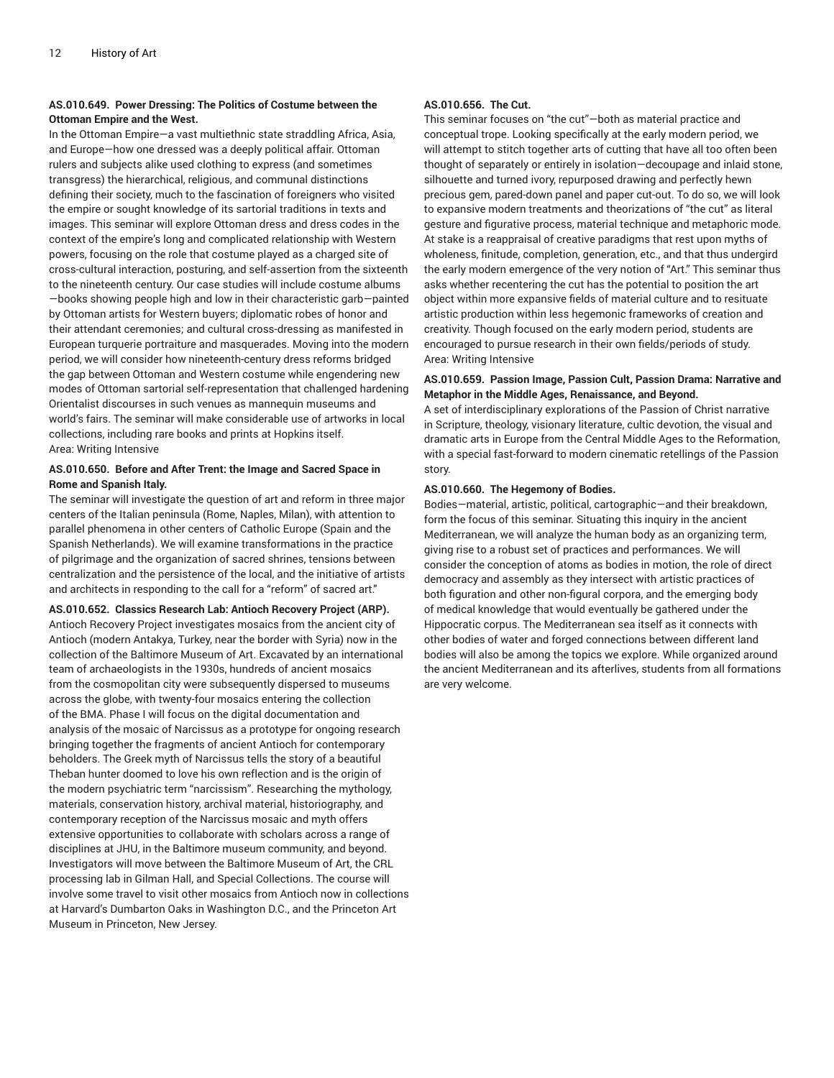#### **AS.010.649. Power Dressing: The Politics of Costume between the Ottoman Empire and the West.**

In the Ottoman Empire—a vast multiethnic state straddling Africa, Asia, and Europe—how one dressed was a deeply political affair. Ottoman rulers and subjects alike used clothing to express (and sometimes transgress) the hierarchical, religious, and communal distinctions defining their society, much to the fascination of foreigners who visited the empire or sought knowledge of its sartorial traditions in texts and images. This seminar will explore Ottoman dress and dress codes in the context of the empire's long and complicated relationship with Western powers, focusing on the role that costume played as a charged site of cross-cultural interaction, posturing, and self-assertion from the sixteenth to the nineteenth century. Our case studies will include costume albums —books showing people high and low in their characteristic garb—painted by Ottoman artists for Western buyers; diplomatic robes of honor and their attendant ceremonies; and cultural cross-dressing as manifested in European turquerie portraiture and masquerades. Moving into the modern period, we will consider how nineteenth-century dress reforms bridged the gap between Ottoman and Western costume while engendering new modes of Ottoman sartorial self-representation that challenged hardening Orientalist discourses in such venues as mannequin museums and world's fairs. The seminar will make considerable use of artworks in local collections, including rare books and prints at Hopkins itself. Area: Writing Intensive

#### **AS.010.650. Before and After Trent: the Image and Sacred Space in Rome and Spanish Italy.**

The seminar will investigate the question of art and reform in three major centers of the Italian peninsula (Rome, Naples, Milan), with attention to parallel phenomena in other centers of Catholic Europe (Spain and the Spanish Netherlands). We will examine transformations in the practice of pilgrimage and the organization of sacred shrines, tensions between centralization and the persistence of the local, and the initiative of artists and architects in responding to the call for a "reform" of sacred art."

#### **AS.010.652. Classics Research Lab: Antioch Recovery Project (ARP).**

Antioch Recovery Project investigates mosaics from the ancient city of Antioch (modern Antakya, Turkey, near the border with Syria) now in the collection of the Baltimore Museum of Art. Excavated by an international team of archaeologists in the 1930s, hundreds of ancient mosaics from the cosmopolitan city were subsequently dispersed to museums across the globe, with twenty-four mosaics entering the collection of the BMA. Phase I will focus on the digital documentation and analysis of the mosaic of Narcissus as a prototype for ongoing research bringing together the fragments of ancient Antioch for contemporary beholders. The Greek myth of Narcissus tells the story of a beautiful Theban hunter doomed to love his own reflection and is the origin of the modern psychiatric term "narcissism". Researching the mythology, materials, conservation history, archival material, historiography, and contemporary reception of the Narcissus mosaic and myth offers extensive opportunities to collaborate with scholars across a range of disciplines at JHU, in the Baltimore museum community, and beyond. Investigators will move between the Baltimore Museum of Art, the CRL processing lab in Gilman Hall, and Special Collections. The course will involve some travel to visit other mosaics from Antioch now in collections at Harvard's Dumbarton Oaks in Washington D.C., and the Princeton Art Museum in Princeton, New Jersey.

#### **AS.010.656. The Cut.**

This seminar focuses on "the cut"—both as material practice and conceptual trope. Looking specifically at the early modern period, we will attempt to stitch together arts of cutting that have all too often been thought of separately or entirely in isolation—decoupage and inlaid stone, silhouette and turned ivory, repurposed drawing and perfectly hewn precious gem, pared-down panel and paper cut-out. To do so, we will look to expansive modern treatments and theorizations of "the cut" as literal gesture and figurative process, material technique and metaphoric mode. At stake is a reappraisal of creative paradigms that rest upon myths of wholeness, finitude, completion, generation, etc., and that thus undergird the early modern emergence of the very notion of "Art." This seminar thus asks whether recentering the cut has the potential to position the art object within more expansive fields of material culture and to resituate artistic production within less hegemonic frameworks of creation and creativity. Though focused on the early modern period, students are encouraged to pursue research in their own fields/periods of study. Area: Writing Intensive

#### **AS.010.659. Passion Image, Passion Cult, Passion Drama: Narrative and Metaphor in the Middle Ages, Renaissance, and Beyond.**

A set of interdisciplinary explorations of the Passion of Christ narrative in Scripture, theology, visionary literature, cultic devotion, the visual and dramatic arts in Europe from the Central Middle Ages to the Reformation, with a special fast-forward to modern cinematic retellings of the Passion story.

#### **AS.010.660. The Hegemony of Bodies.**

Bodies—material, artistic, political, cartographic—and their breakdown, form the focus of this seminar. Situating this inquiry in the ancient Mediterranean, we will analyze the human body as an organizing term, giving rise to a robust set of practices and performances. We will consider the conception of atoms as bodies in motion, the role of direct democracy and assembly as they intersect with artistic practices of both figuration and other non-figural corpora, and the emerging body of medical knowledge that would eventually be gathered under the Hippocratic corpus. The Mediterranean sea itself as it connects with other bodies of water and forged connections between different land bodies will also be among the topics we explore. While organized around the ancient Mediterranean and its afterlives, students from all formations are very welcome.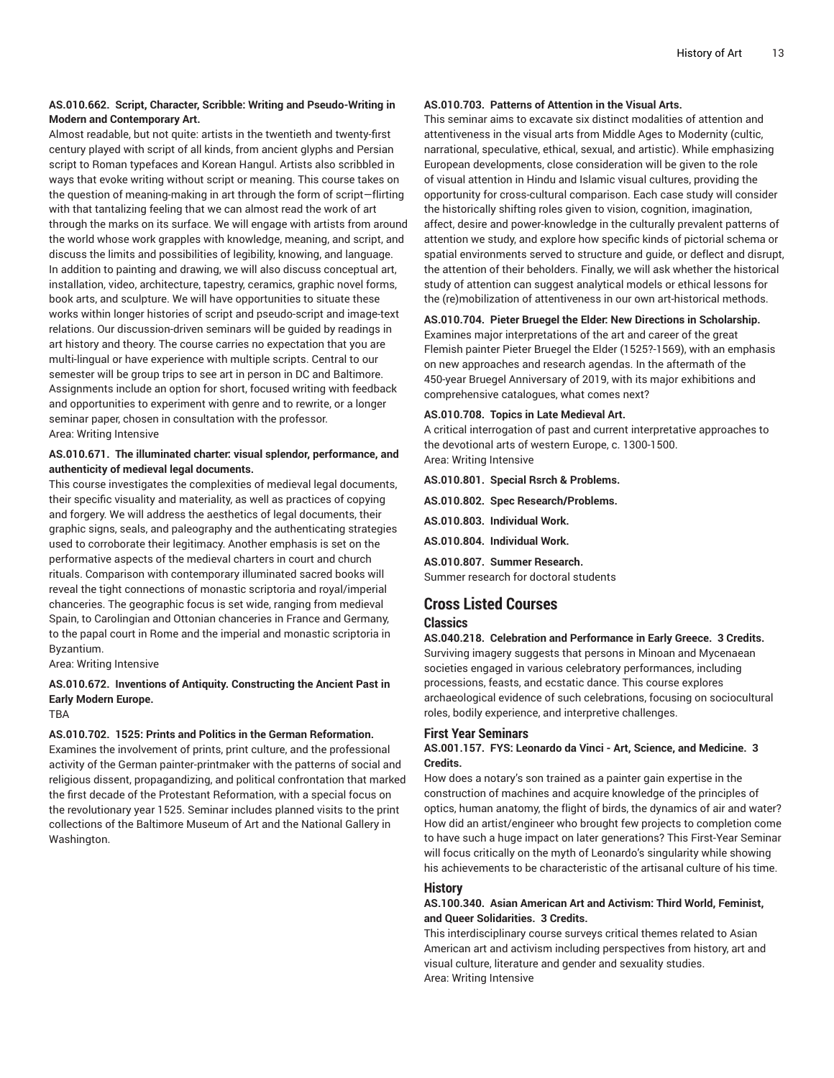#### **AS.010.662. Script, Character, Scribble: Writing and Pseudo-Writing in Modern and Contemporary Art.**

Almost readable, but not quite: artists in the twentieth and twenty-first century played with script of all kinds, from ancient glyphs and Persian script to Roman typefaces and Korean Hangul. Artists also scribbled in ways that evoke writing without script or meaning. This course takes on the question of meaning-making in art through the form of script—flirting with that tantalizing feeling that we can almost read the work of art through the marks on its surface. We will engage with artists from around the world whose work grapples with knowledge, meaning, and script, and discuss the limits and possibilities of legibility, knowing, and language. In addition to painting and drawing, we will also discuss conceptual art, installation, video, architecture, tapestry, ceramics, graphic novel forms, book arts, and sculpture. We will have opportunities to situate these works within longer histories of script and pseudo-script and image-text relations. Our discussion-driven seminars will be guided by readings in art history and theory. The course carries no expectation that you are multi-lingual or have experience with multiple scripts. Central to our semester will be group trips to see art in person in DC and Baltimore. Assignments include an option for short, focused writing with feedback and opportunities to experiment with genre and to rewrite, or a longer seminar paper, chosen in consultation with the professor. Area: Writing Intensive

#### **AS.010.671. The illuminated charter: visual splendor, performance, and authenticity of medieval legal documents.**

This course investigates the complexities of medieval legal documents, their specific visuality and materiality, as well as practices of copying and forgery. We will address the aesthetics of legal documents, their graphic signs, seals, and paleography and the authenticating strategies used to corroborate their legitimacy. Another emphasis is set on the performative aspects of the medieval charters in court and church rituals. Comparison with contemporary illuminated sacred books will reveal the tight connections of monastic scriptoria and royal/imperial chanceries. The geographic focus is set wide, ranging from medieval Spain, to Carolingian and Ottonian chanceries in France and Germany, to the papal court in Rome and the imperial and monastic scriptoria in Byzantium.

Area: Writing Intensive

#### **AS.010.672. Inventions of Antiquity. Constructing the Ancient Past in Early Modern Europe.**

TBA

#### **AS.010.702. 1525: Prints and Politics in the German Reformation.**

Examines the involvement of prints, print culture, and the professional activity of the German painter-printmaker with the patterns of social and religious dissent, propagandizing, and political confrontation that marked the first decade of the Protestant Reformation, with a special focus on the revolutionary year 1525. Seminar includes planned visits to the print collections of the Baltimore Museum of Art and the National Gallery in Washington.

#### **AS.010.703. Patterns of Attention in the Visual Arts.**

This seminar aims to excavate six distinct modalities of attention and attentiveness in the visual arts from Middle Ages to Modernity (cultic, narrational, speculative, ethical, sexual, and artistic). While emphasizing European developments, close consideration will be given to the role of visual attention in Hindu and Islamic visual cultures, providing the opportunity for cross-cultural comparison. Each case study will consider the historically shifting roles given to vision, cognition, imagination, affect, desire and power-knowledge in the culturally prevalent patterns of attention we study, and explore how specific kinds of pictorial schema or spatial environments served to structure and guide, or deflect and disrupt, the attention of their beholders. Finally, we will ask whether the historical study of attention can suggest analytical models or ethical lessons for the (re)mobilization of attentiveness in our own art-historical methods.

#### **AS.010.704. Pieter Bruegel the Elder: New Directions in Scholarship.**

Examines major interpretations of the art and career of the great Flemish painter Pieter Bruegel the Elder (1525?-1569), with an emphasis on new approaches and research agendas. In the aftermath of the 450-year Bruegel Anniversary of 2019, with its major exhibitions and comprehensive catalogues, what comes next?

#### **AS.010.708. Topics in Late Medieval Art.**

A critical interrogation of past and current interpretative approaches to the devotional arts of western Europe, c. 1300-1500. Area: Writing Intensive

#### **AS.010.801. Special Rsrch & Problems.**

**AS.010.802. Spec Research/Problems.**

**AS.010.803. Individual Work.**

**AS.010.804. Individual Work.**

**AS.010.807. Summer Research.** Summer research for doctoral students

#### **Cross Listed Courses**

#### **Classics**

**AS.040.218. Celebration and Performance in Early Greece. 3 Credits.** Surviving imagery suggests that persons in Minoan and Mycenaean societies engaged in various celebratory performances, including processions, feasts, and ecstatic dance. This course explores archaeological evidence of such celebrations, focusing on sociocultural roles, bodily experience, and interpretive challenges.

#### **First Year Seminars**

#### **AS.001.157. FYS: Leonardo da Vinci - Art, Science, and Medicine. 3 Credits.**

How does a notary's son trained as a painter gain expertise in the construction of machines and acquire knowledge of the principles of optics, human anatomy, the flight of birds, the dynamics of air and water? How did an artist/engineer who brought few projects to completion come to have such a huge impact on later generations? This First-Year Seminar will focus critically on the myth of Leonardo's singularity while showing his achievements to be characteristic of the artisanal culture of his time.

#### **History**

#### **AS.100.340. Asian American Art and Activism: Third World, Feminist, and Queer Solidarities. 3 Credits.**

This interdisciplinary course surveys critical themes related to Asian American art and activism including perspectives from history, art and visual culture, literature and gender and sexuality studies. Area: Writing Intensive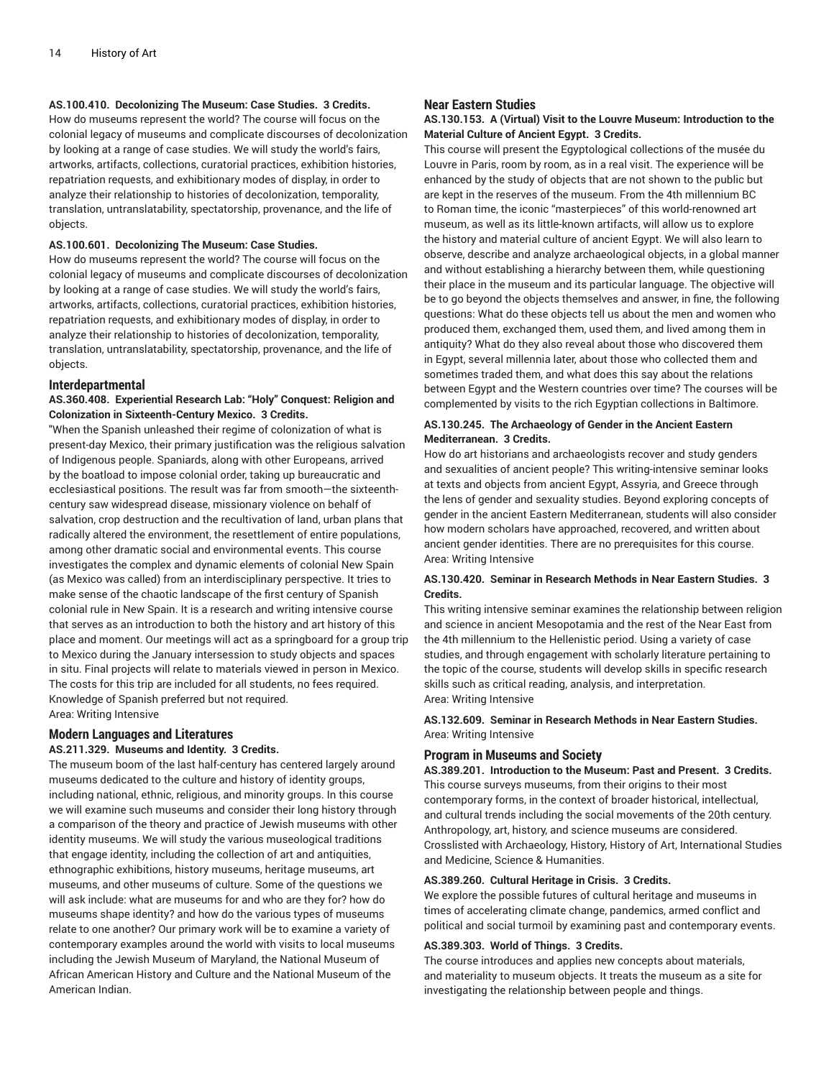#### **AS.100.410. Decolonizing The Museum: Case Studies. 3 Credits.**

How do museums represent the world? The course will focus on the colonial legacy of museums and complicate discourses of decolonization by looking at a range of case studies. We will study the world's fairs, artworks, artifacts, collections, curatorial practices, exhibition histories, repatriation requests, and exhibitionary modes of display, in order to analyze their relationship to histories of decolonization, temporality, translation, untranslatability, spectatorship, provenance, and the life of objects.

#### **AS.100.601. Decolonizing The Museum: Case Studies.**

How do museums represent the world? The course will focus on the colonial legacy of museums and complicate discourses of decolonization by looking at a range of case studies. We will study the world's fairs, artworks, artifacts, collections, curatorial practices, exhibition histories, repatriation requests, and exhibitionary modes of display, in order to analyze their relationship to histories of decolonization, temporality, translation, untranslatability, spectatorship, provenance, and the life of objects.

#### **Interdepartmental**

#### **AS.360.408. Experiential Research Lab: "Holy" Conquest: Religion and Colonization in Sixteenth-Century Mexico. 3 Credits.**

"When the Spanish unleashed their regime of colonization of what is present-day Mexico, their primary justification was the religious salvation of Indigenous people. Spaniards, along with other Europeans, arrived by the boatload to impose colonial order, taking up bureaucratic and ecclesiastical positions. The result was far from smooth—the sixteenthcentury saw widespread disease, missionary violence on behalf of salvation, crop destruction and the recultivation of land, urban plans that radically altered the environment, the resettlement of entire populations, among other dramatic social and environmental events. This course investigates the complex and dynamic elements of colonial New Spain (as Mexico was called) from an interdisciplinary perspective. It tries to make sense of the chaotic landscape of the first century of Spanish colonial rule in New Spain. It is a research and writing intensive course that serves as an introduction to both the history and art history of this place and moment. Our meetings will act as a springboard for a group trip to Mexico during the January intersession to study objects and spaces in situ. Final projects will relate to materials viewed in person in Mexico. The costs for this trip are included for all students, no fees required. Knowledge of Spanish preferred but not required. Area: Writing Intensive

### **Modern Languages and Literatures**

#### **AS.211.329. Museums and Identity. 3 Credits.**

The museum boom of the last half-century has centered largely around museums dedicated to the culture and history of identity groups, including national, ethnic, religious, and minority groups. In this course we will examine such museums and consider their long history through a comparison of the theory and practice of Jewish museums with other identity museums. We will study the various museological traditions that engage identity, including the collection of art and antiquities, ethnographic exhibitions, history museums, heritage museums, art museums, and other museums of culture. Some of the questions we will ask include: what are museums for and who are they for? how do museums shape identity? and how do the various types of museums relate to one another? Our primary work will be to examine a variety of contemporary examples around the world with visits to local museums including the Jewish Museum of Maryland, the National Museum of African American History and Culture and the National Museum of the American Indian.

#### **Near Eastern Studies**

#### **AS.130.153. A (Virtual) Visit to the Louvre Museum: Introduction to the Material Culture of Ancient Egypt. 3 Credits.**

This course will present the Egyptological collections of the musée du Louvre in Paris, room by room, as in a real visit. The experience will be enhanced by the study of objects that are not shown to the public but are kept in the reserves of the museum. From the 4th millennium BC to Roman time, the iconic "masterpieces" of this world-renowned art museum, as well as its little-known artifacts, will allow us to explore the history and material culture of ancient Egypt. We will also learn to observe, describe and analyze archaeological objects, in a global manner and without establishing a hierarchy between them, while questioning their place in the museum and its particular language. The objective will be to go beyond the objects themselves and answer, in fine, the following questions: What do these objects tell us about the men and women who produced them, exchanged them, used them, and lived among them in antiquity? What do they also reveal about those who discovered them in Egypt, several millennia later, about those who collected them and sometimes traded them, and what does this say about the relations between Egypt and the Western countries over time? The courses will be complemented by visits to the rich Egyptian collections in Baltimore.

#### **AS.130.245. The Archaeology of Gender in the Ancient Eastern Mediterranean. 3 Credits.**

How do art historians and archaeologists recover and study genders and sexualities of ancient people? This writing-intensive seminar looks at texts and objects from ancient Egypt, Assyria, and Greece through the lens of gender and sexuality studies. Beyond exploring concepts of gender in the ancient Eastern Mediterranean, students will also consider how modern scholars have approached, recovered, and written about ancient gender identities. There are no prerequisites for this course. Area: Writing Intensive

#### **AS.130.420. Seminar in Research Methods in Near Eastern Studies. 3 Credits.**

This writing intensive seminar examines the relationship between religion and science in ancient Mesopotamia and the rest of the Near East from the 4th millennium to the Hellenistic period. Using a variety of case studies, and through engagement with scholarly literature pertaining to the topic of the course, students will develop skills in specific research skills such as critical reading, analysis, and interpretation. Area: Writing Intensive

**AS.132.609. Seminar in Research Methods in Near Eastern Studies.** Area: Writing Intensive

#### **Program in Museums and Society**

**AS.389.201. Introduction to the Museum: Past and Present. 3 Credits.** This course surveys museums, from their origins to their most contemporary forms, in the context of broader historical, intellectual, and cultural trends including the social movements of the 20th century. Anthropology, art, history, and science museums are considered. Crosslisted with Archaeology, History, History of Art, International Studies and Medicine, Science & Humanities.

#### **AS.389.260. Cultural Heritage in Crisis. 3 Credits.**

We explore the possible futures of cultural heritage and museums in times of accelerating climate change, pandemics, armed conflict and political and social turmoil by examining past and contemporary events.

#### **AS.389.303. World of Things. 3 Credits.**

The course introduces and applies new concepts about materials, and materiality to museum objects. It treats the museum as a site for investigating the relationship between people and things.